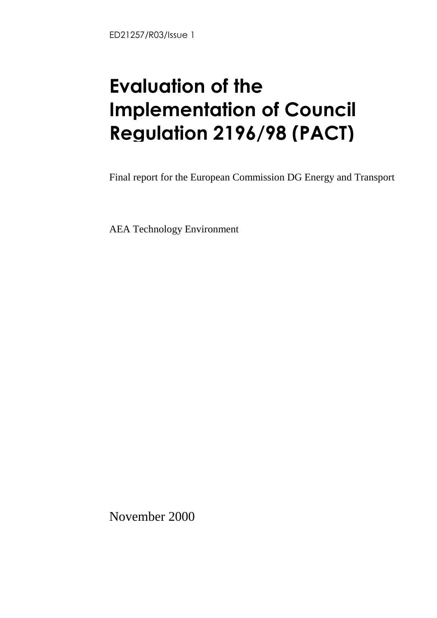# **Evaluation of the<br>Implementation of Council** Requision 2196/98 (PACT) Regulation 2196/98 (PACT)

Final report for the European Commission DG Energy and Transport

AEA Technology Environment

November 2000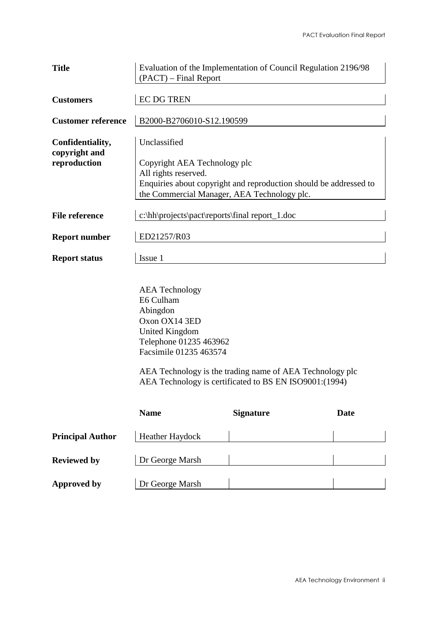| <b>Title</b>                      | Evaluation of the Implementation of Council Regulation 2196/98<br>(PACT) – Final Report                                                      |
|-----------------------------------|----------------------------------------------------------------------------------------------------------------------------------------------|
| <b>Customers</b>                  | <b>EC DG TREN</b>                                                                                                                            |
| <b>Customer reference</b>         | B2000-B2706010-S12.190599                                                                                                                    |
| Confidentiality,<br>copyright and | Unclassified                                                                                                                                 |
| reproduction                      | Copyright AEA Technology plc                                                                                                                 |
|                                   | All rights reserved.                                                                                                                         |
|                                   | Enquiries about copyright and reproduction should be addressed to                                                                            |
|                                   | the Commercial Manager, AEA Technology plc.                                                                                                  |
| <b>File reference</b>             | c:\hh\projects\pact\reports\final report_1.doc                                                                                               |
| <b>Report number</b>              | ED21257/R03                                                                                                                                  |
| <b>Report status</b>              | Issue 1                                                                                                                                      |
|                                   | <b>AEA</b> Technology<br>E6 Culham<br>Abingdon<br>Oxon OX14 3ED<br><b>United Kingdom</b><br>Telephone 01235 463962<br>Facsimile 01235 463574 |

AEA Technology is the trading name of AEA Technology plc AEA Technology is certificated to BS EN ISO9001:(1994)

|                         | <b>Name</b>     | <b>Signature</b> | Date |
|-------------------------|-----------------|------------------|------|
| <b>Principal Author</b> | Heather Haydock |                  |      |
| <b>Reviewed by</b>      | Dr George Marsh |                  |      |
| <b>Approved by</b>      | Dr George Marsh |                  |      |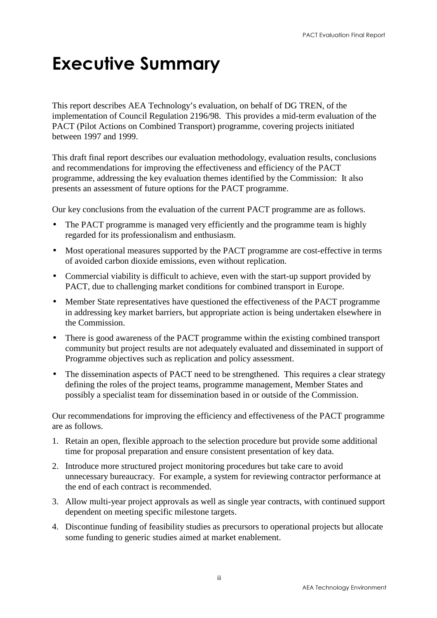# Executive Summary

This report describes AEA Technology's evaluation, on behalf of DG TREN, of the implementation of Council Regulation 2196/98. This provides a mid-term evaluation of the PACT (Pilot Actions on Combined Transport) programme, covering projects initiated between 1997 and 1999.

This draft final report describes our evaluation methodology, evaluation results, conclusions and recommendations for improving the effectiveness and efficiency of the PACT programme, addressing the key evaluation themes identified by the Commission: It also presents an assessment of future options for the PACT programme.

Our key conclusions from the evaluation of the current PACT programme are as follows.

- The PACT programme is managed very efficiently and the programme team is highly regarded for its professionalism and enthusiasm.
- Most operational measures supported by the PACT programme are cost-effective in terms of avoided carbon dioxide emissions, even without replication.
- Commercial viability is difficult to achieve, even with the start-up support provided by PACT, due to challenging market conditions for combined transport in Europe.
- Member State representatives have questioned the effectiveness of the PACT programme in addressing key market barriers, but appropriate action is being undertaken elsewhere in the Commission.
- There is good awareness of the PACT programme within the existing combined transport community but project results are not adequately evaluated and disseminated in support of Programme objectives such as replication and policy assessment.
- The dissemination aspects of PACT need to be strengthened. This requires a clear strategy defining the roles of the project teams, programme management, Member States and possibly a specialist team for dissemination based in or outside of the Commission.

Our recommendations for improving the efficiency and effectiveness of the PACT programme are as follows.

- 1. Retain an open, flexible approach to the selection procedure but provide some additional time for proposal preparation and ensure consistent presentation of key data.
- 2. Introduce more structured project monitoring procedures but take care to avoid unnecessary bureaucracy. For example, a system for reviewing contractor performance at the end of each contract is recommended.
- 3. Allow multi-year project approvals as well as single year contracts, with continued support dependent on meeting specific milestone targets.
- 4. Discontinue funding of feasibility studies as precursors to operational projects but allocate some funding to generic studies aimed at market enablement.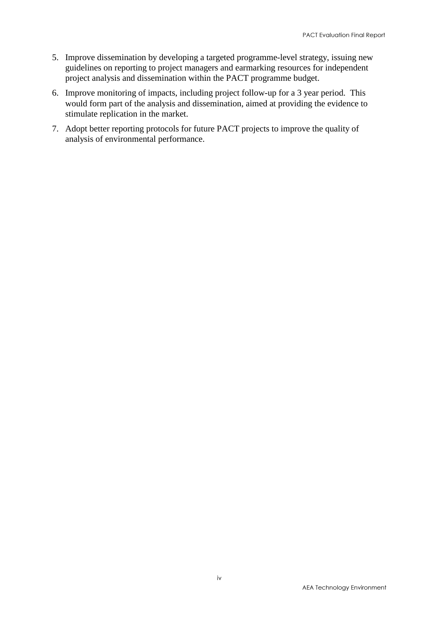- 5. Improve dissemination by developing a targeted programme-level strategy, issuing new guidelines on reporting to project managers and earmarking resources for independent project analysis and dissemination within the PACT programme budget.
- 6. Improve monitoring of impacts, including project follow-up for a 3 year period. This would form part of the analysis and dissemination, aimed at providing the evidence to stimulate replication in the market.
- 7. Adopt better reporting protocols for future PACT projects to improve the quality of analysis of environmental performance.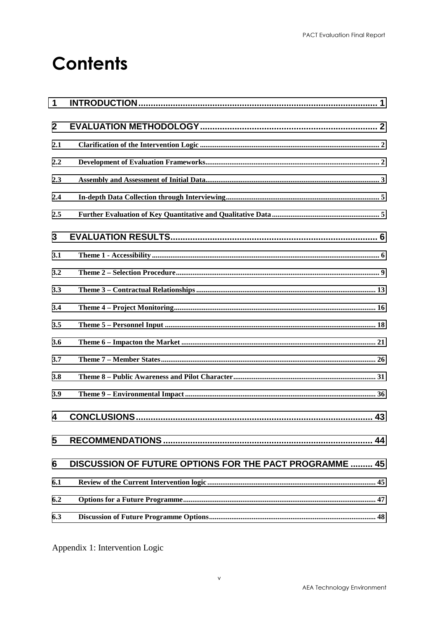# **Contents**

| 1                |                                                         |
|------------------|---------------------------------------------------------|
| $\boldsymbol{2}$ |                                                         |
| 2.1              |                                                         |
| 2.2              |                                                         |
| 2.3              |                                                         |
| 2.4              |                                                         |
| 2.5              |                                                         |
| 3                |                                                         |
| 3.1              |                                                         |
| 3.2              |                                                         |
| 3.3              |                                                         |
| 3.4              |                                                         |
| 3.5              |                                                         |
| 3.6              |                                                         |
| 3.7              |                                                         |
| 3.8              |                                                         |
| 3.9              |                                                         |
| 4                |                                                         |
| 5                | 44                                                      |
| 6                | DISCUSSION OF FUTURE OPTIONS FOR THE PACT PROGRAMME  45 |
| 6.1              |                                                         |
| 6.2              |                                                         |
| 6.3              |                                                         |

Appendix 1: Intervention Logic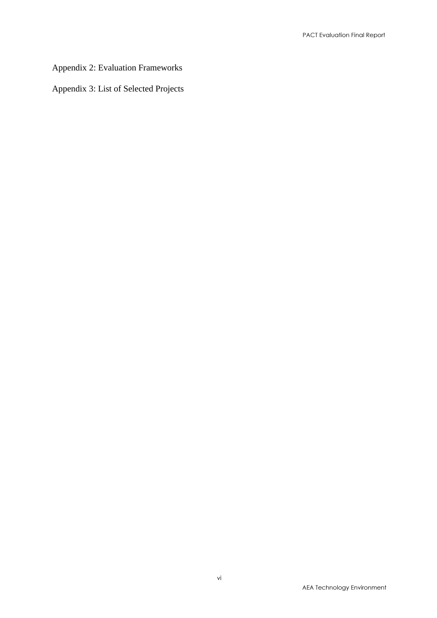#### Appendix 2: Evaluation Frameworks

Appendix 3: List of Selected Projects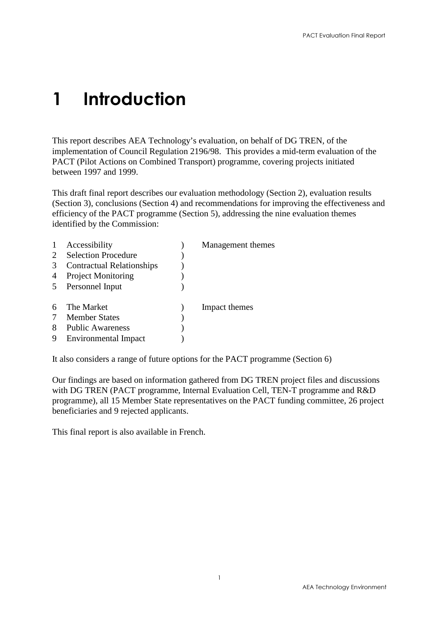# <span id="page-6-0"></span>1 Introduction

This report describes AEA Technology's evaluation, on behalf of DG TREN, of the implementation of Council Regulation 2196/98. This provides a mid-term evaluation of the PACT (Pilot Actions on Combined Transport) programme, covering projects initiated between 1997 and 1999.

This draft final report describes our evaluation methodology (Section 2), evaluation results (Section 3), conclusions (Section 4) and recommendations for improving the effectiveness and efficiency of the PACT programme (Section 5), addressing the nine evaluation themes identified by the Commission:

|   | Accessibility                    | Management themes |
|---|----------------------------------|-------------------|
|   | <b>Selection Procedure</b>       |                   |
| 3 | <b>Contractual Relationships</b> |                   |
| 4 | <b>Project Monitoring</b>        |                   |
| 5 | Personnel Input                  |                   |
|   | The Market                       | Impact themes     |
|   | <b>Member States</b>             |                   |
| 8 | <b>Public Awareness</b>          |                   |
|   | Environmental Impact             |                   |

It also considers a range of future options for the PACT programme (Section 6)

Our findings are based on information gathered from DG TREN project files and discussions with DG TREN (PACT programme, Internal Evaluation Cell, TEN-T programme and R&D programme), all 15 Member State representatives on the PACT funding committee, 26 project beneficiaries and 9 rejected applicants.

This final report is also available in French.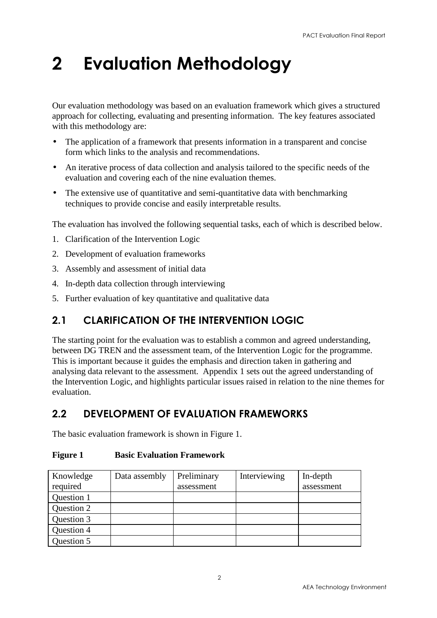# <span id="page-7-0"></span>2 Evaluation Methodology

Our evaluation methodology was based on an evaluation framework which gives a structured approach for collecting, evaluating and presenting information. The key features associated with this methodology are:

- The application of a framework that presents information in a transparent and concise form which links to the analysis and recommendations.
- An iterative process of data collection and analysis tailored to the specific needs of the evaluation and covering each of the nine evaluation themes.
- The extensive use of quantitative and semi-quantitative data with benchmarking techniques to provide concise and easily interpretable results.

The evaluation has involved the following sequential tasks, each of which is described below.

- 1. Clarification of the Intervention Logic
- 2. Development of evaluation frameworks
- 3. Assembly and assessment of initial data
- 4. In-depth data collection through interviewing
- 5. Further evaluation of key quantitative and qualitative data

## 2.1 CLARIFICATION OF THE INTERVENTION LOGIC

The starting point for the evaluation was to establish a common and agreed understanding, between DG TREN and the assessment team, of the Intervention Logic for the programme. This is important because it guides the emphasis and direction taken in gathering and analysing data relevant to the assessment. Appendix 1 sets out the agreed understanding of the Intervention Logic, and highlights particular issues raised in relation to the nine themes for evaluation.

## 2.2 DEVELOPMENT OF EVALUATION FRAMEWORKS

The basic evaluation framework is shown in Figure 1.

| Knowledge  | Data assembly | Preliminary | Interviewing | In-depth   |
|------------|---------------|-------------|--------------|------------|
| required   |               | assessment  |              | assessment |
| Question 1 |               |             |              |            |
| Question 2 |               |             |              |            |
| Question 3 |               |             |              |            |
| Question 4 |               |             |              |            |
| Question 5 |               |             |              |            |

#### **Figure 1 Basic Evaluation Framework**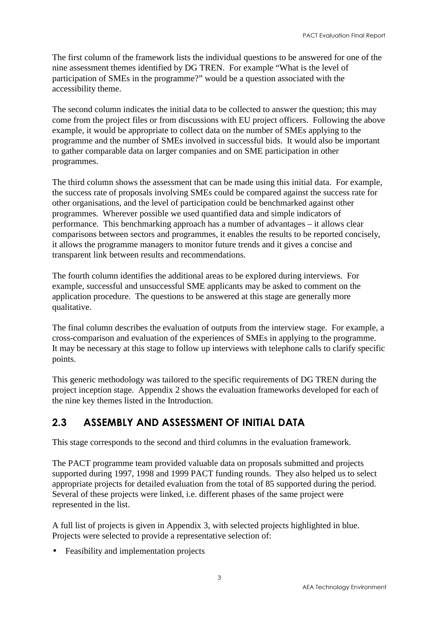<span id="page-8-0"></span>The first column of the framework lists the individual questions to be answered for one of the nine assessment themes identified by DG TREN. For example "What is the level of participation of SMEs in the programme?" would be a question associated with the accessibility theme.

The second column indicates the initial data to be collected to answer the question; this may come from the project files or from discussions with EU project officers. Following the above example, it would be appropriate to collect data on the number of SMEs applying to the programme and the number of SMEs involved in successful bids. It would also be important to gather comparable data on larger companies and on SME participation in other programmes.

The third column shows the assessment that can be made using this initial data. For example, the success rate of proposals involving SMEs could be compared against the success rate for other organisations, and the level of participation could be benchmarked against other programmes. Wherever possible we used quantified data and simple indicators of performance. This benchmarking approach has a number of advantages – it allows clear comparisons between sectors and programmes, it enables the results to be reported concisely, it allows the programme managers to monitor future trends and it gives a concise and transparent link between results and recommendations.

The fourth column identifies the additional areas to be explored during interviews. For example, successful and unsuccessful SME applicants may be asked to comment on the application procedure. The questions to be answered at this stage are generally more qualitative.

The final column describes the evaluation of outputs from the interview stage. For example, a cross-comparison and evaluation of the experiences of SMEs in applying to the programme. It may be necessary at this stage to follow up interviews with telephone calls to clarify specific points.

This generic methodology was tailored to the specific requirements of DG TREN during the project inception stage. Appendix 2 shows the evaluation frameworks developed for each of the nine key themes listed in the Introduction.

## 2.3 ASSEMBLY AND ASSESSMENT OF INITIAL DATA

This stage corresponds to the second and third columns in the evaluation framework.

The PACT programme team provided valuable data on proposals submitted and projects supported during 1997, 1998 and 1999 PACT funding rounds. They also helped us to select appropriate projects for detailed evaluation from the total of 85 supported during the period. Several of these projects were linked, i.e. different phases of the same project were represented in the list.

A full list of projects is given in Appendix 3, with selected projects highlighted in blue. Projects were selected to provide a representative selection of:

• Feasibility and implementation projects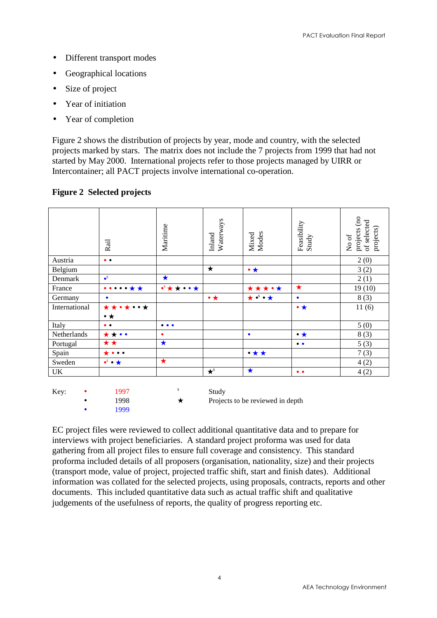- Different transport modes
- Geographical locations
- Size of project
- Year of initiation
- Year of completion

Figure 2 shows the distribution of projects by year, mode and country, with the selected projects marked by stars. The matrix does not include the 7 projects from 1999 that had not started by May 2000. International projects refer to those projects managed by UIRR or Intercontainer; all PACT projects involve international co-operation.

|               | Rail                                     | Maritime                                          | Waterways<br>Inland | Modes<br>Mixed              | Feasibility<br>Study | projects (no<br>of selected<br>projects)<br>No of |
|---------------|------------------------------------------|---------------------------------------------------|---------------------|-----------------------------|----------------------|---------------------------------------------------|
| Austria       | $\bullet$                                |                                                   |                     |                             |                      | 2(0)                                              |
| Belgium       |                                          |                                                   | $\star$             | $\bullet\star$              |                      | 3(2)                                              |
| Denmark       | $\bullet$ <sup>s</sup>                   | $\bigstar$                                        |                     |                             |                      | 2(1)                                              |
| France        | $\bullet\bullet\bullet\bullet\star\star$ | $\bullet^{\text{S}}\star\star\bullet\bullet\star$ |                     | *****                       | $\star$              | 19(10)                                            |
| Germany       | $\bullet$                                |                                                   | $\bullet\star$      | $\star \cdot^s \cdot \star$ | $\bullet$            | 8(3)                                              |
| International | *******                                  |                                                   |                     |                             | $\bullet\star$       | 11(6)                                             |
|               | $\bullet\star$                           |                                                   |                     |                             |                      |                                                   |
| Italy         | $\bullet$                                | $\bullet\bullet\bullet$                           |                     |                             |                      | 5(0)                                              |
| Netherlands   | $\star\star\bullet\bullet$               | $\bullet$                                         |                     | $\bullet$                   | $\bullet\star$       | 8(3)                                              |
| Portugal      | ★★                                       | $\bigstar$                                        |                     |                             | $\bullet\bullet$     | 5(3)                                              |
| Spain         | $\star \bullet \bullet \bullet$          |                                                   |                     | $\bullet\star\star$         |                      | 7(3)                                              |
| Sweden        | $\bullet^s \bullet \star$                | $\star$                                           |                     |                             |                      | 4(2)                                              |
| UK            |                                          |                                                   | $\star^s$           | $\bigstar$                  | $\bullet$            | 4(2)                                              |
|               |                                          |                                                   |                     |                             |                      |                                                   |

#### **Figure 2 Selected projects**

| Key: | 1997  | Study                            |
|------|-------|----------------------------------|
|      | 1998  | Projects to be reviewed in depth |
|      | 1999. |                                  |

EC project files were reviewed to collect additional quantitative data and to prepare for interviews with project beneficiaries. A standard project proforma was used for data gathering from all project files to ensure full coverage and consistency. This standard proforma included details of all proposers (organisation, nationality, size) and their projects (transport mode, value of project, projected traffic shift, start and finish dates). Additional information was collated for the selected projects, using proposals, contracts, reports and other documents. This included quantitative data such as actual traffic shift and qualitative judgements of the usefulness of reports, the quality of progress reporting etc.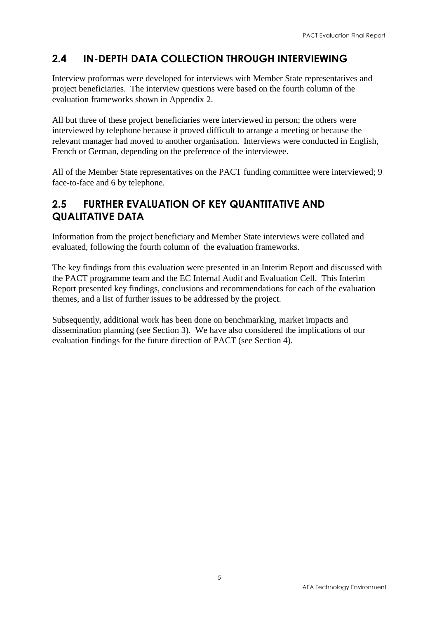## <span id="page-10-0"></span>2.4 IN-DEPTH DATA COLLECTION THROUGH INTERVIEWING

Interview proformas were developed for interviews with Member State representatives and project beneficiaries. The interview questions were based on the fourth column of the evaluation frameworks shown in Appendix 2.

All but three of these project beneficiaries were interviewed in person; the others were interviewed by telephone because it proved difficult to arrange a meeting or because the relevant manager had moved to another organisation. Interviews were conducted in English, French or German, depending on the preference of the interviewee.

All of the Member State representatives on the PACT funding committee were interviewed; 9 face-to-face and 6 by telephone.

### 2.5 FURTHER EVALUATION OF KEY QUANTITATIVE AND QUALITATIVE DATA

Information from the project beneficiary and Member State interviews were collated and evaluated, following the fourth column of the evaluation frameworks.

The key findings from this evaluation were presented in an Interim Report and discussed with the PACT programme team and the EC Internal Audit and Evaluation Cell. This Interim Report presented key findings, conclusions and recommendations for each of the evaluation themes, and a list of further issues to be addressed by the project.

Subsequently, additional work has been done on benchmarking, market impacts and dissemination planning (see Section 3). We have also considered the implications of our evaluation findings for the future direction of PACT (see Section 4).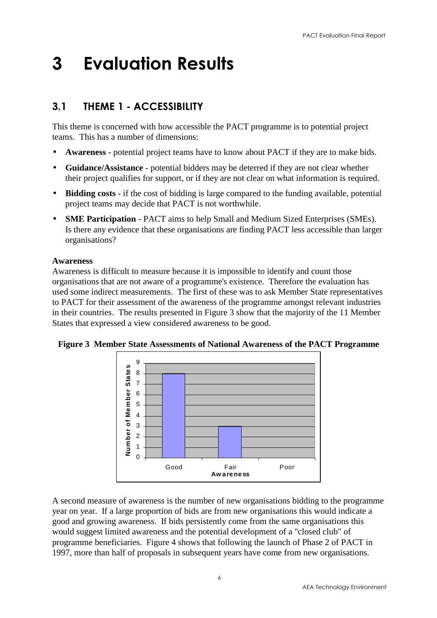# <span id="page-11-0"></span>3 Evaluation Results

## 3.1 THEME 1 - ACCESSIBILITY

This theme is concerned with how accessible the PACT programme is to potential project teams. This has a number of dimensions:

- **Awareness** potential project teams have to know about PACT if they are to make bids.
- **Guidance/Assistance** potential bidders may be deterred if they are not clear whether their project qualifies for support, or if they are not clear on what information is required.
- **Bidding costs** if the cost of bidding is large compared to the funding available, potential project teams may decide that PACT is not worthwhile.
- **SME Participation** PACT aims to help Small and Medium Sized Enterprises (SMEs). Is there any evidence that these organisations are finding PACT less accessible than larger organisations?

#### **Awareness**

Awareness is difficult to measure because it is impossible to identify and count those organisations that are not aware of a programme's existence. Therefore the evaluation has used some indirect measurements. The first of these was to ask Member State representatives to PACT for their assessment of the awareness of the programme amongst relevant industries in their countries. The results presented in Figure 3 show that the majority of the 11 Member States that expressed a view considered awareness to be good.



**Figure 3 Member State Assessments of National Awareness of the PACT Programme**

A second measure of awareness is the number of new organisations bidding to the programme year on year. If a large proportion of bids are from new organisations this would indicate a good and growing awareness. If bids persistently come from the same organisations this would suggest limited awareness and the potential development of a "closed club" of programme beneficiaries. Figure 4 shows that following the launch of Phase 2 of PACT in 1997, more than half of proposals in subsequent years have come from new organisations.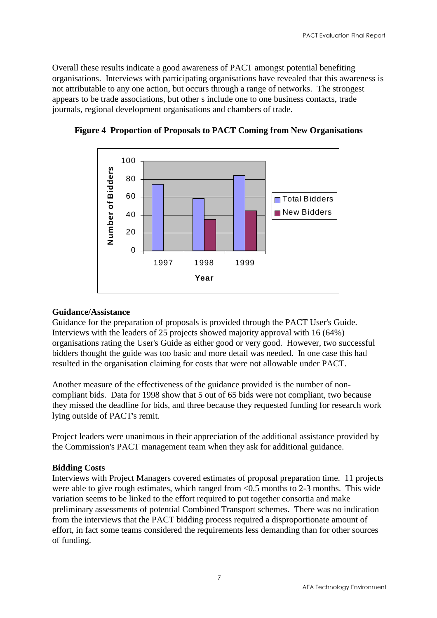Overall these results indicate a good awareness of PACT amongst potential benefiting organisations. Interviews with participating organisations have revealed that this awareness is not attributable to any one action, but occurs through a range of networks. The strongest appears to be trade associations, but other s include one to one business contacts, trade journals, regional development organisations and chambers of trade.



**Figure 4 Proportion of Proposals to PACT Coming from New Organisations**

#### **Guidance/Assistance**

Guidance for the preparation of proposals is provided through the PACT User's Guide. Interviews with the leaders of 25 projects showed majority approval with 16 (64%) organisations rating the User's Guide as either good or very good. However, two successful bidders thought the guide was too basic and more detail was needed. In one case this had resulted in the organisation claiming for costs that were not allowable under PACT.

Another measure of the effectiveness of the guidance provided is the number of noncompliant bids. Data for 1998 show that 5 out of 65 bids were not compliant, two because they missed the deadline for bids, and three because they requested funding for research work lying outside of PACT's remit.

Project leaders were unanimous in their appreciation of the additional assistance provided by the Commission's PACT management team when they ask for additional guidance.

#### **Bidding Costs**

Interviews with Project Managers covered estimates of proposal preparation time. 11 projects were able to give rough estimates, which ranged from <0.5 months to 2-3 months. This wide variation seems to be linked to the effort required to put together consortia and make preliminary assessments of potential Combined Transport schemes. There was no indication from the interviews that the PACT bidding process required a disproportionate amount of effort, in fact some teams considered the requirements less demanding than for other sources of funding.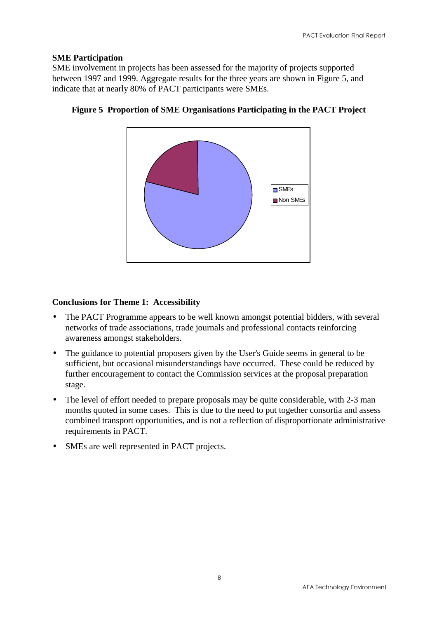#### **SME Participation**

SME involvement in projects has been assessed for the majority of projects supported between 1997 and 1999. Aggregate results for the three years are shown in Figure 5, and indicate that at nearly 80% of PACT participants were SMEs.



**Figure 5 Proportion of SME Organisations Participating in the PACT Project**

#### **Conclusions for Theme 1: Accessibility**

- The PACT Programme appears to be well known amongst potential bidders, with several networks of trade associations, trade journals and professional contacts reinforcing awareness amongst stakeholders.
- The guidance to potential proposers given by the User's Guide seems in general to be sufficient, but occasional misunderstandings have occurred. These could be reduced by further encouragement to contact the Commission services at the proposal preparation stage.
- The level of effort needed to prepare proposals may be quite considerable, with 2-3 man months quoted in some cases. This is due to the need to put together consortia and assess combined transport opportunities, and is not a reflection of disproportionate administrative requirements in PACT.
- SMEs are well represented in PACT projects.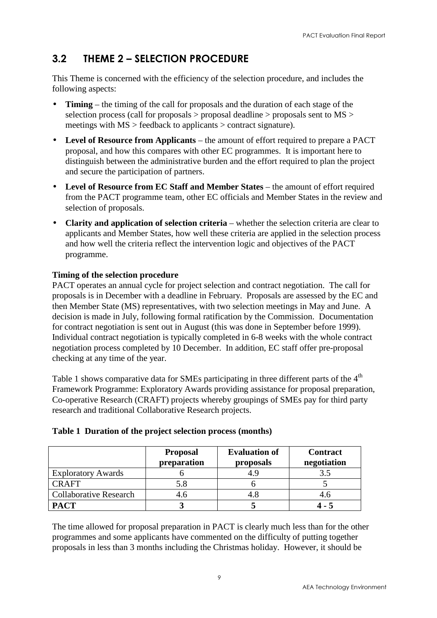## <span id="page-14-0"></span>3.2 THEME 2 – SELECTION PROCEDURE

This Theme is concerned with the efficiency of the selection procedure, and includes the following aspects:

- **Timing** the timing of the call for proposals and the duration of each stage of the selection process (call for proposals > proposal deadline > proposals sent to MS > meetings with MS > feedback to applicants > contract signature).
- **Level of Resource from Applicants** the amount of effort required to prepare a PACT proposal, and how this compares with other EC programmes. It is important here to distinguish between the administrative burden and the effort required to plan the project and secure the participation of partners.
- **Level of Resource from EC Staff and Member States** the amount of effort required from the PACT programme team, other EC officials and Member States in the review and selection of proposals.
- **Clarity and application of selection criteria** whether the selection criteria are clear to applicants and Member States, how well these criteria are applied in the selection process and how well the criteria reflect the intervention logic and objectives of the PACT programme.

#### **Timing of the selection procedure**

PACT operates an annual cycle for project selection and contract negotiation. The call for proposals is in December with a deadline in February. Proposals are assessed by the EC and then Member State (MS) representatives, with two selection meetings in May and June. A decision is made in July, following formal ratification by the Commission. Documentation for contract negotiation is sent out in August (this was done in September before 1999). Individual contract negotiation is typically completed in 6-8 weeks with the whole contract negotiation process completed by 10 December. In addition, EC staff offer pre-proposal checking at any time of the year.

Table 1 shows comparative data for SMEs participating in three different parts of the 4<sup>th</sup> Framework Programme: Exploratory Awards providing assistance for proposal preparation, Co-operative Research (CRAFT) projects whereby groupings of SMEs pay for third party research and traditional Collaborative Research projects.

|                               | <b>Proposal</b><br>preparation | <b>Evaluation of</b><br>proposals | <b>Contract</b><br>negotiation |
|-------------------------------|--------------------------------|-----------------------------------|--------------------------------|
| <b>Exploratory Awards</b>     |                                | 4.9                               | 3.5                            |
| <b>CRAFT</b>                  | 5.8                            |                                   |                                |
| <b>Collaborative Research</b> | 4.6                            | 4.8                               | 4.6                            |
| <b>PACT</b>                   |                                |                                   |                                |

#### **Table 1 Duration of the project selection process (months)**

The time allowed for proposal preparation in PACT is clearly much less than for the other programmes and some applicants have commented on the difficulty of putting together proposals in less than 3 months including the Christmas holiday. However, it should be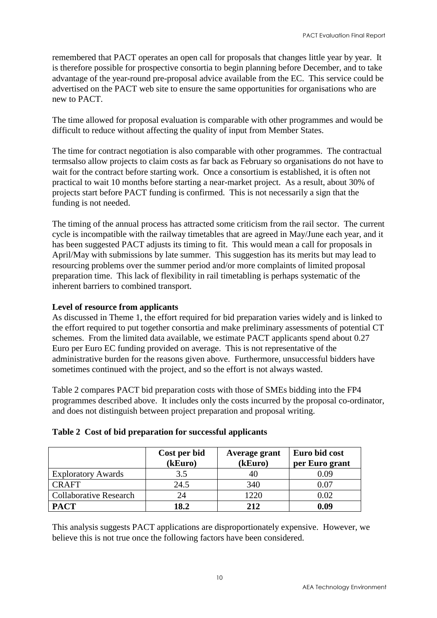remembered that PACT operates an open call for proposals that changes little year by year. It is therefore possible for prospective consortia to begin planning before December, and to take advantage of the year-round pre-proposal advice available from the EC. This service could be advertised on the PACT web site to ensure the same opportunities for organisations who are new to PACT.

The time allowed for proposal evaluation is comparable with other programmes and would be difficult to reduce without affecting the quality of input from Member States.

The time for contract negotiation is also comparable with other programmes. The contractual termsalso allow projects to claim costs as far back as February so organisations do not have to wait for the contract before starting work. Once a consortium is established, it is often not practical to wait 10 months before starting a near-market project. As a result, about 30% of projects start before PACT funding is confirmed. This is not necessarily a sign that the funding is not needed.

The timing of the annual process has attracted some criticism from the rail sector. The current cycle is incompatible with the railway timetables that are agreed in May/June each year, and it has been suggested PACT adjusts its timing to fit. This would mean a call for proposals in April/May with submissions by late summer. This suggestion has its merits but may lead to resourcing problems over the summer period and/or more complaints of limited proposal preparation time. This lack of flexibility in rail timetabling is perhaps systematic of the inherent barriers to combined transport.

#### **Level of resource from applicants**

As discussed in Theme 1, the effort required for bid preparation varies widely and is linked to the effort required to put together consortia and make preliminary assessments of potential CT schemes. From the limited data available, we estimate PACT applicants spend about 0.27 Euro per Euro EC funding provided on average. This is not representative of the administrative burden for the reasons given above. Furthermore, unsuccessful bidders have sometimes continued with the project, and so the effort is not always wasted.

Table 2 compares PACT bid preparation costs with those of SMEs bidding into the FP4 programmes described above. It includes only the costs incurred by the proposal co-ordinator, and does not distinguish between project preparation and proposal writing.

|  |  |  |  |  |  | Table 2 Cost of bid preparation for successful applicants |
|--|--|--|--|--|--|-----------------------------------------------------------|
|--|--|--|--|--|--|-----------------------------------------------------------|

|                               | Cost per bid<br>(kEuro) | Average grant<br>(kEuro) | Euro bid cost<br>per Euro grant |
|-------------------------------|-------------------------|--------------------------|---------------------------------|
| <b>Exploratory Awards</b>     | 3.5                     | 40                       | 0.09                            |
| <b>CRAFT</b>                  | 24.5                    | 340                      | 0.07                            |
| <b>Collaborative Research</b> | 24                      | 1220                     | 0.02                            |
| <b>PACT</b>                   | 18.2                    | 2.12                     | 0.09                            |

This analysis suggests PACT applications are disproportionately expensive. However, we believe this is not true once the following factors have been considered.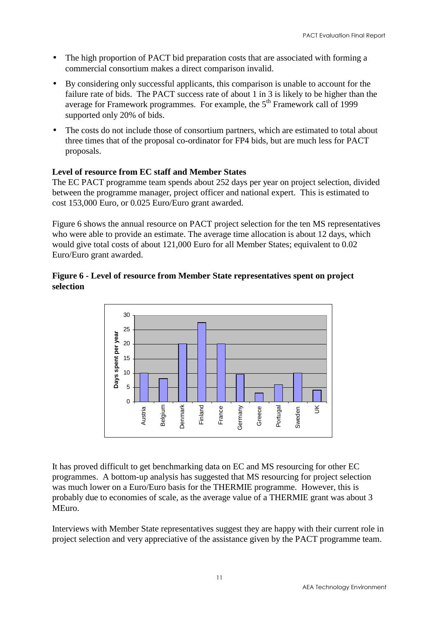- The high proportion of PACT bid preparation costs that are associated with forming a commercial consortium makes a direct comparison invalid.
- By considering only successful applicants, this comparison is unable to account for the failure rate of bids. The PACT success rate of about 1 in 3 is likely to be higher than the average for Framework programmes. For example, the  $5<sup>th</sup>$  Framework call of 1999 supported only 20% of bids.
- The costs do not include those of consortium partners, which are estimated to total about three times that of the proposal co-ordinator for FP4 bids, but are much less for PACT proposals.

#### **Level of resource from EC staff and Member States**

The EC PACT programme team spends about 252 days per year on project selection, divided between the programme manager, project officer and national expert. This is estimated to cost 153,000 Euro, or 0.025 Euro/Euro grant awarded.

Figure 6 shows the annual resource on PACT project selection for the ten MS representatives who were able to provide an estimate. The average time allocation is about 12 days, which would give total costs of about 121,000 Euro for all Member States; equivalent to 0.02 Euro/Euro grant awarded.

#### **Figure 6 - Level of resource from Member State representatives spent on project selection**



It has proved difficult to get benchmarking data on EC and MS resourcing for other EC programmes. A bottom-up analysis has suggested that MS resourcing for project selection was much lower on a Euro/Euro basis for the THERMIE programme. However, this is probably due to economies of scale, as the average value of a THERMIE grant was about 3 MEuro.

Interviews with Member State representatives suggest they are happy with their current role in project selection and very appreciative of the assistance given by the PACT programme team.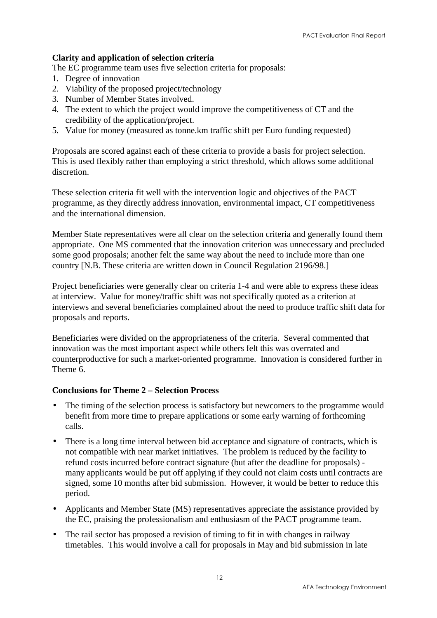#### **Clarity and application of selection criteria**

The EC programme team uses five selection criteria for proposals:

- 1. Degree of innovation
- 2. Viability of the proposed project/technology
- 3. Number of Member States involved.
- 4. The extent to which the project would improve the competitiveness of CT and the credibility of the application/project.
- 5. Value for money (measured as tonne.km traffic shift per Euro funding requested)

Proposals are scored against each of these criteria to provide a basis for project selection. This is used flexibly rather than employing a strict threshold, which allows some additional discretion.

These selection criteria fit well with the intervention logic and objectives of the PACT programme, as they directly address innovation, environmental impact, CT competitiveness and the international dimension.

Member State representatives were all clear on the selection criteria and generally found them appropriate. One MS commented that the innovation criterion was unnecessary and precluded some good proposals; another felt the same way about the need to include more than one country [N.B. These criteria are written down in Council Regulation 2196/98.]

Project beneficiaries were generally clear on criteria 1-4 and were able to express these ideas at interview. Value for money/traffic shift was not specifically quoted as a criterion at interviews and several beneficiaries complained about the need to produce traffic shift data for proposals and reports.

Beneficiaries were divided on the appropriateness of the criteria. Several commented that innovation was the most important aspect while others felt this was overrated and counterproductive for such a market-oriented programme. Innovation is considered further in Theme 6.

#### **Conclusions for Theme 2 – Selection Process**

- The timing of the selection process is satisfactory but newcomers to the programme would benefit from more time to prepare applications or some early warning of forthcoming calls.
- There is a long time interval between bid acceptance and signature of contracts, which is not compatible with near market initiatives. The problem is reduced by the facility to refund costs incurred before contract signature (but after the deadline for proposals) many applicants would be put off applying if they could not claim costs until contracts are signed, some 10 months after bid submission. However, it would be better to reduce this period.
- Applicants and Member State (MS) representatives appreciate the assistance provided by the EC, praising the professionalism and enthusiasm of the PACT programme team.
- The rail sector has proposed a revision of timing to fit in with changes in railway timetables. This would involve a call for proposals in May and bid submission in late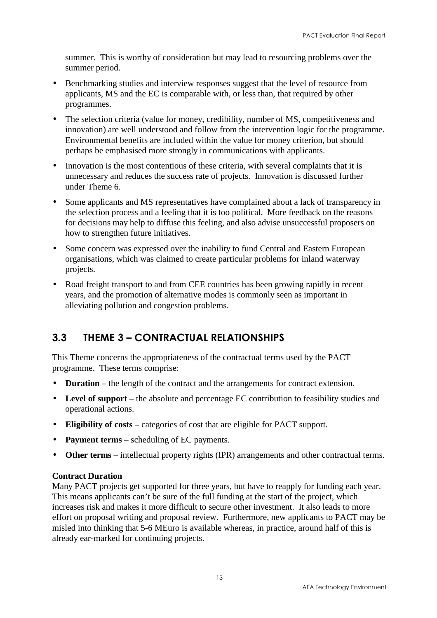<span id="page-18-0"></span>summer. This is worthy of consideration but may lead to resourcing problems over the summer period.

- Benchmarking studies and interview responses suggest that the level of resource from applicants, MS and the EC is comparable with, or less than, that required by other programmes.
- The selection criteria (value for money, credibility, number of MS, competitiveness and innovation) are well understood and follow from the intervention logic for the programme. Environmental benefits are included within the value for money criterion, but should perhaps be emphasised more strongly in communications with applicants.
- Innovation is the most contentious of these criteria, with several complaints that it is unnecessary and reduces the success rate of projects. Innovation is discussed further under Theme 6.
- Some applicants and MS representatives have complained about a lack of transparency in the selection process and a feeling that it is too political. More feedback on the reasons for decisions may help to diffuse this feeling, and also advise unsuccessful proposers on how to strengthen future initiatives.
- Some concern was expressed over the inability to fund Central and Eastern European organisations, which was claimed to create particular problems for inland waterway projects.
- Road freight transport to and from CEE countries has been growing rapidly in recent years, and the promotion of alternative modes is commonly seen as important in alleviating pollution and congestion problems.

## 3.3 THEME 3 – CONTRACTUAL RELATIONSHIPS

This Theme concerns the appropriateness of the contractual terms used by the PACT programme. These terms comprise:

- **Duration** the length of the contract and the arrangements for contract extension.
- **Level of support** the absolute and percentage EC contribution to feasibility studies and operational actions.
- **Eligibility of costs** categories of cost that are eligible for PACT support.
- **Payment terms** scheduling of EC payments.
- **Other terms** intellectual property rights (IPR) arrangements and other contractual terms.

#### **Contract Duration**

Many PACT projects get supported for three years, but have to reapply for funding each year. This means applicants can't be sure of the full funding at the start of the project, which increases risk and makes it more difficult to secure other investment. It also leads to more effort on proposal writing and proposal review. Furthermore, new applicants to PACT may be misled into thinking that 5-6 MEuro is available whereas, in practice, around half of this is already ear-marked for continuing projects.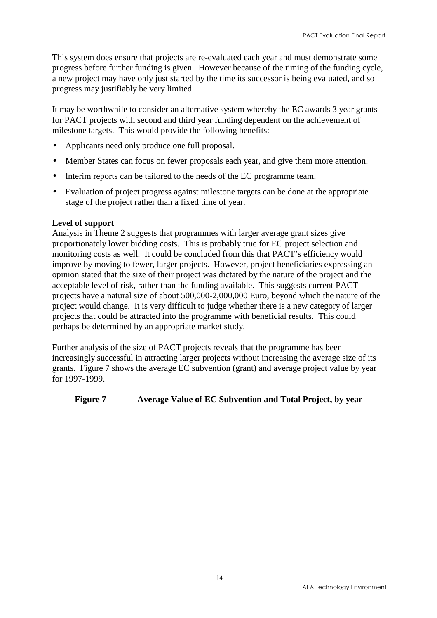This system does ensure that projects are re-evaluated each year and must demonstrate some progress before further funding is given. However because of the timing of the funding cycle, a new project may have only just started by the time its successor is being evaluated, and so progress may justifiably be very limited.

It may be worthwhile to consider an alternative system whereby the EC awards 3 year grants for PACT projects with second and third year funding dependent on the achievement of milestone targets. This would provide the following benefits:

- Applicants need only produce one full proposal.
- Member States can focus on fewer proposals each year, and give them more attention.
- Interim reports can be tailored to the needs of the EC programme team.
- Evaluation of project progress against milestone targets can be done at the appropriate stage of the project rather than a fixed time of year.

#### **Level of support**

Analysis in Theme 2 suggests that programmes with larger average grant sizes give proportionately lower bidding costs. This is probably true for EC project selection and monitoring costs as well. It could be concluded from this that PACT's efficiency would improve by moving to fewer, larger projects. However, project beneficiaries expressing an opinion stated that the size of their project was dictated by the nature of the project and the acceptable level of risk, rather than the funding available. This suggests current PACT projects have a natural size of about 500,000-2,000,000 Euro, beyond which the nature of the project would change. It is very difficult to judge whether there is a new category of larger projects that could be attracted into the programme with beneficial results. This could perhaps be determined by an appropriate market study.

Further analysis of the size of PACT projects reveals that the programme has been increasingly successful in attracting larger projects without increasing the average size of its grants. Figure 7 shows the average EC subvention (grant) and average project value by year for 1997-1999.

#### **Figure 7 Average Value of EC Subvention and Total Project, by year**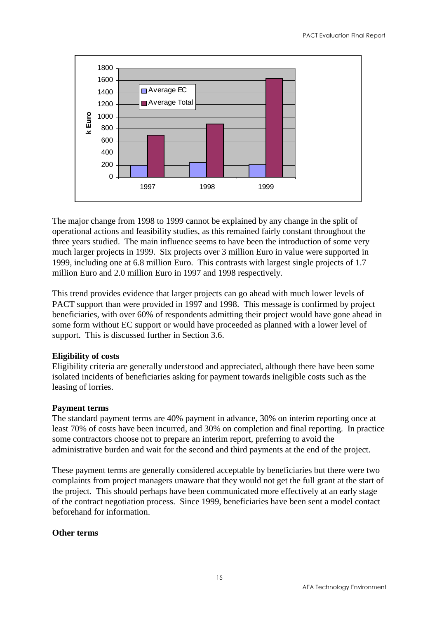

The major change from 1998 to 1999 cannot be explained by any change in the split of operational actions and feasibility studies, as this remained fairly constant throughout the three years studied. The main influence seems to have been the introduction of some very much larger projects in 1999. Six projects over 3 million Euro in value were supported in 1999, including one at 6.8 million Euro. This contrasts with largest single projects of 1.7 million Euro and 2.0 million Euro in 1997 and 1998 respectively.

This trend provides evidence that larger projects can go ahead with much lower levels of PACT support than were provided in 1997 and 1998. This message is confirmed by project beneficiaries, with over 60% of respondents admitting their project would have gone ahead in some form without EC support or would have proceeded as planned with a lower level of support. This is discussed further in Section 3.6.

#### **Eligibility of costs**

Eligibility criteria are generally understood and appreciated, although there have been some isolated incidents of beneficiaries asking for payment towards ineligible costs such as the leasing of lorries.

#### **Payment terms**

The standard payment terms are 40% payment in advance, 30% on interim reporting once at least 70% of costs have been incurred, and 30% on completion and final reporting. In practice some contractors choose not to prepare an interim report, preferring to avoid the administrative burden and wait for the second and third payments at the end of the project.

These payment terms are generally considered acceptable by beneficiaries but there were two complaints from project managers unaware that they would not get the full grant at the start of the project. This should perhaps have been communicated more effectively at an early stage of the contract negotiation process. Since 1999, beneficiaries have been sent a model contact beforehand for information.

#### **Other terms**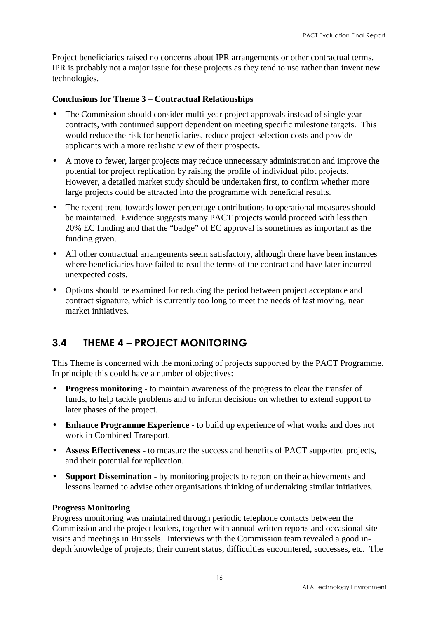<span id="page-21-0"></span>Project beneficiaries raised no concerns about IPR arrangements or other contractual terms. IPR is probably not a major issue for these projects as they tend to use rather than invent new technologies.

#### **Conclusions for Theme 3 – Contractual Relationships**

- The Commission should consider multi-year project approvals instead of single year contracts, with continued support dependent on meeting specific milestone targets. This would reduce the risk for beneficiaries, reduce project selection costs and provide applicants with a more realistic view of their prospects.
- A move to fewer, larger projects may reduce unnecessary administration and improve the potential for project replication by raising the profile of individual pilot projects. However, a detailed market study should be undertaken first, to confirm whether more large projects could be attracted into the programme with beneficial results.
- The recent trend towards lower percentage contributions to operational measures should be maintained. Evidence suggests many PACT projects would proceed with less than 20% EC funding and that the "badge" of EC approval is sometimes as important as the funding given.
- All other contractual arrangements seem satisfactory, although there have been instances where beneficiaries have failed to read the terms of the contract and have later incurred unexpected costs.
- Options should be examined for reducing the period between project acceptance and contract signature, which is currently too long to meet the needs of fast moving, near market initiatives.

### 3.4 THEME 4 – PROJECT MONITORING

This Theme is concerned with the monitoring of projects supported by the PACT Programme. In principle this could have a number of objectives:

- **Progress monitoring -** to maintain awareness of the progress to clear the transfer of funds, to help tackle problems and to inform decisions on whether to extend support to later phases of the project.
- **Enhance Programme Experience -** to build up experience of what works and does not work in Combined Transport.
- **Assess Effectiveness -** to measure the success and benefits of PACT supported projects, and their potential for replication.
- **Support Dissemination -** by monitoring projects to report on their achievements and lessons learned to advise other organisations thinking of undertaking similar initiatives.

#### **Progress Monitoring**

Progress monitoring was maintained through periodic telephone contacts between the Commission and the project leaders, together with annual written reports and occasional site visits and meetings in Brussels. Interviews with the Commission team revealed a good indepth knowledge of projects; their current status, difficulties encountered, successes, etc. The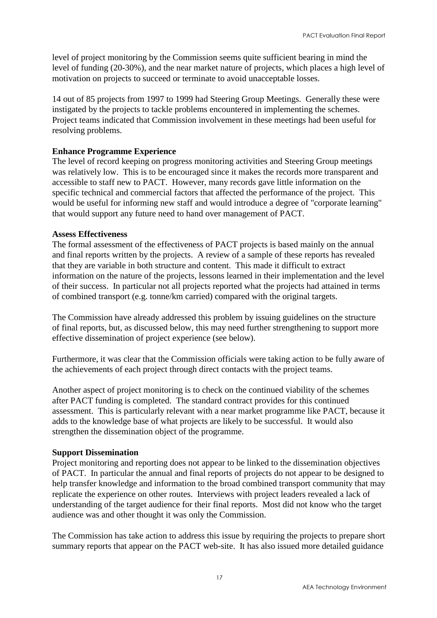level of project monitoring by the Commission seems quite sufficient bearing in mind the level of funding (20-30%), and the near market nature of projects, which places a high level of motivation on projects to succeed or terminate to avoid unacceptable losses.

14 out of 85 projects from 1997 to 1999 had Steering Group Meetings. Generally these were instigated by the projects to tackle problems encountered in implementing the schemes. Project teams indicated that Commission involvement in these meetings had been useful for resolving problems.

#### **Enhance Programme Experience**

The level of record keeping on progress monitoring activities and Steering Group meetings was relatively low. This is to be encouraged since it makes the records more transparent and accessible to staff new to PACT. However, many records gave little information on the specific technical and commercial factors that affected the performance of the project. This would be useful for informing new staff and would introduce a degree of "corporate learning" that would support any future need to hand over management of PACT.

#### **Assess Effectiveness**

The formal assessment of the effectiveness of PACT projects is based mainly on the annual and final reports written by the projects. A review of a sample of these reports has revealed that they are variable in both structure and content. This made it difficult to extract information on the nature of the projects, lessons learned in their implementation and the level of their success. In particular not all projects reported what the projects had attained in terms of combined transport (e.g. tonne/km carried) compared with the original targets.

The Commission have already addressed this problem by issuing guidelines on the structure of final reports, but, as discussed below, this may need further strengthening to support more effective dissemination of project experience (see below).

Furthermore, it was clear that the Commission officials were taking action to be fully aware of the achievements of each project through direct contacts with the project teams.

Another aspect of project monitoring is to check on the continued viability of the schemes after PACT funding is completed. The standard contract provides for this continued assessment. This is particularly relevant with a near market programme like PACT, because it adds to the knowledge base of what projects are likely to be successful. It would also strengthen the dissemination object of the programme.

#### **Support Dissemination**

Project monitoring and reporting does not appear to be linked to the dissemination objectives of PACT. In particular the annual and final reports of projects do not appear to be designed to help transfer knowledge and information to the broad combined transport community that may replicate the experience on other routes. Interviews with project leaders revealed a lack of understanding of the target audience for their final reports. Most did not know who the target audience was and other thought it was only the Commission.

The Commission has take action to address this issue by requiring the projects to prepare short summary reports that appear on the PACT web-site. It has also issued more detailed guidance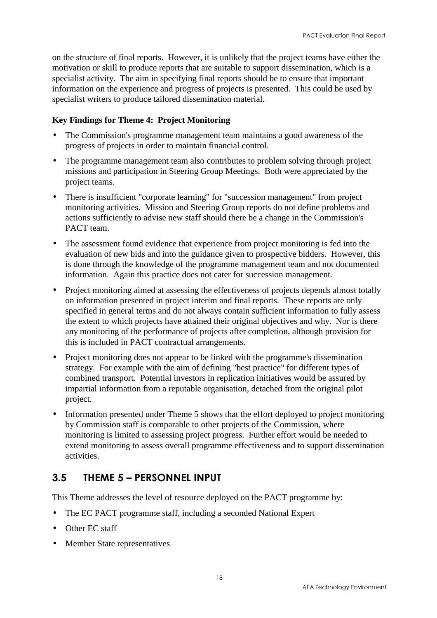<span id="page-23-0"></span>on the structure of final reports. However, it is unlikely that the project teams have either the motivation or skill to produce reports that are suitable to support dissemination, which is a specialist activity. The aim in specifying final reports should be to ensure that important information on the experience and progress of projects is presented. This could be used by specialist writers to produce tailored dissemination material.

#### **Key Findings for Theme 4: Project Monitoring**

- The Commission's programme management team maintains a good awareness of the progress of projects in order to maintain financial control.
- The programme management team also contributes to problem solving through project missions and participation in Steering Group Meetings. Both were appreciated by the project teams.
- There is insufficient "corporate learning" for "succession management" from project monitoring activities. Mission and Steering Group reports do not define problems and actions sufficiently to advise new staff should there be a change in the Commission's PACT team.
- The assessment found evidence that experience from project monitoring is fed into the evaluation of new bids and into the guidance given to prospective bidders. However, this is done through the knowledge of the programme management team and not documented information. Again this practice does not cater for succession management.
- Project monitoring aimed at assessing the effectiveness of projects depends almost totally on information presented in project interim and final reports. These reports are only specified in general terms and do not always contain sufficient information to fully assess the extent to which projects have attained their original objectives and why. Nor is there any monitoring of the performance of projects after completion, although provision for this is included in PACT contractual arrangements.
- Project monitoring does not appear to be linked with the programme's dissemination strategy. For example with the aim of defining "best practice" for different types of combined transport. Potential investors in replication initiatives would be assured by impartial information from a reputable organisation, detached from the original pilot project.
- Information presented under Theme 5 shows that the effort deployed to project monitoring by Commission staff is comparable to other projects of the Commission, where monitoring is limited to assessing project progress. Further effort would be needed to extend monitoring to assess overall programme effectiveness and to support dissemination activities.

### 3.5 THEME 5 – PERSONNEL INPUT

This Theme addresses the level of resource deployed on the PACT programme by:

- The EC PACT programme staff, including a seconded National Expert
- Other EC staff
- Member State representatives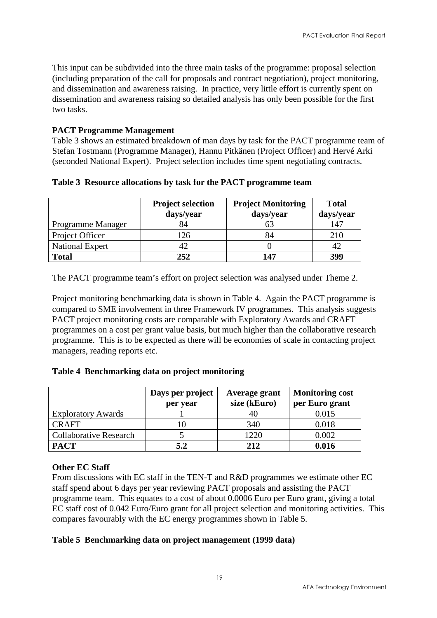This input can be subdivided into the three main tasks of the programme: proposal selection (including preparation of the call for proposals and contract negotiation), project monitoring, and dissemination and awareness raising. In practice, very little effort is currently spent on dissemination and awareness raising so detailed analysis has only been possible for the first two tasks.

#### **PACT Programme Management**

Table 3 shows an estimated breakdown of man days by task for the PACT programme team of Stefan Tostmann (Programme Manager), Hannu Pitkänen (Project Officer) and Hervé Arki (seconded National Expert). Project selection includes time spent negotiating contracts.

|                        | <b>Project selection</b><br>days/year | <b>Project Monitoring</b><br>days/year | <b>Total</b><br>days/year |
|------------------------|---------------------------------------|----------------------------------------|---------------------------|
| Programme Manager      | 84                                    | 63                                     | 147                       |
| Project Officer        | 126                                   | 84                                     | 210                       |
| <b>National Expert</b> | 42                                    |                                        | 42                        |
| <b>Total</b>           | 252                                   | 147                                    | 399                       |

**Table 3 Resource allocations by task for the PACT programme team**

The PACT programme team's effort on project selection was analysed under Theme 2.

Project monitoring benchmarking data is shown in Table 4. Again the PACT programme is compared to SME involvement in three Framework IV programmes. This analysis suggests PACT project monitoring costs are comparable with Exploratory Awards and CRAFT programmes on a cost per grant value basis, but much higher than the collaborative research programme. This is to be expected as there will be economies of scale in contacting project managers, reading reports etc.

#### **Table 4 Benchmarking data on project monitoring**

|                               | Days per project | Average grant<br>size (kEuro) | <b>Monitoring cost</b> |
|-------------------------------|------------------|-------------------------------|------------------------|
|                               | per year         |                               | per Euro grant         |
| <b>Exploratory Awards</b>     |                  | 40                            | 0.015                  |
| <b>CRAFT</b>                  |                  | 340                           | 0.018                  |
| <b>Collaborative Research</b> |                  | 1220                          | 0.002                  |
| <b>PACT</b>                   | 5.2              | 2.12                          | 0.016                  |

#### **Other EC Staff**

From discussions with EC staff in the TEN-T and R&D programmes we estimate other EC staff spend about 6 days per year reviewing PACT proposals and assisting the PACT programme team. This equates to a cost of about 0.0006 Euro per Euro grant, giving a total EC staff cost of 0.042 Euro/Euro grant for all project selection and monitoring activities. This compares favourably with the EC energy programmes shown in Table 5.

#### **Table 5 Benchmarking data on project management (1999 data)**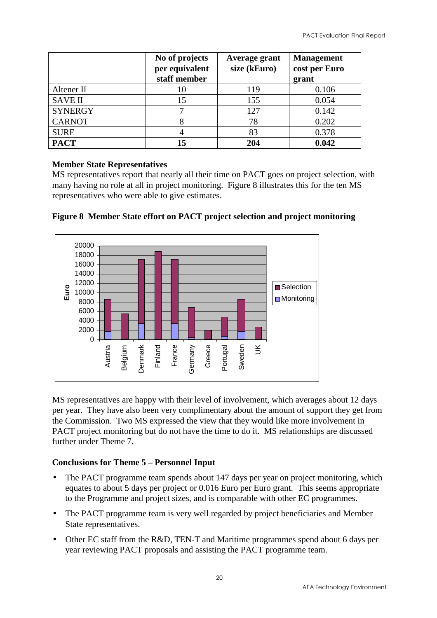|                | No of projects<br>per equivalent<br>staff member | Average grant<br>size (kEuro) | <b>Management</b><br>cost per Euro<br>grant |
|----------------|--------------------------------------------------|-------------------------------|---------------------------------------------|
| Altener II     | 10                                               | 119                           | 0.106                                       |
| <b>SAVE II</b> | 15                                               | 155                           | 0.054                                       |
| <b>SYNERGY</b> |                                                  | 127                           | 0.142                                       |
| <b>CARNOT</b>  |                                                  | 78                            | 0.202                                       |
| <b>SURE</b>    |                                                  | 83                            | 0.378                                       |
| <b>PACT</b>    | 15                                               | 204                           | 0.042                                       |

#### **Member State Representatives**

MS representatives report that nearly all their time on PACT goes on project selection, with many having no role at all in project monitoring. Figure 8 illustrates this for the ten MS representatives who were able to give estimates.





MS representatives are happy with their level of involvement, which averages about 12 days per year. They have also been very complimentary about the amount of support they get from the Commission. Two MS expressed the view that they would like more involvement in PACT project monitoring but do not have the time to do it. MS relationships are discussed further under Theme 7.

#### **Conclusions for Theme 5 – Personnel Input**

- The PACT programme team spends about 147 days per year on project monitoring, which equates to about 5 days per project or 0.016 Euro per Euro grant. This seems appropriate to the Programme and project sizes, and is comparable with other EC programmes.
- The PACT programme team is very well regarded by project beneficiaries and Member State representatives.
- Other EC staff from the R&D, TEN-T and Maritime programmes spend about 6 days per year reviewing PACT proposals and assisting the PACT programme team.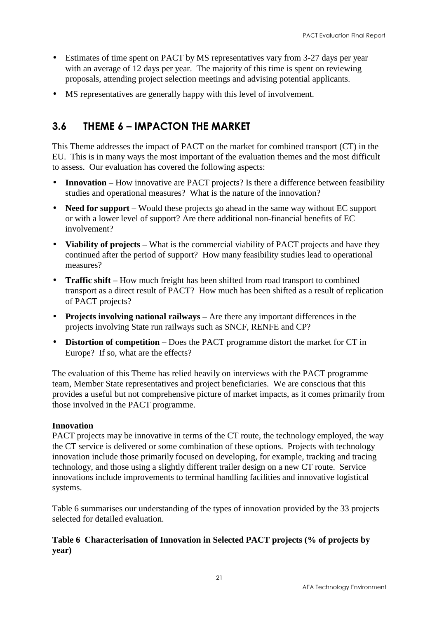- <span id="page-26-0"></span>• Estimates of time spent on PACT by MS representatives vary from 3-27 days per year with an average of 12 days per year. The majority of this time is spent on reviewing proposals, attending project selection meetings and advising potential applicants.
- MS representatives are generally happy with this level of involvement.

### 3.6 THEME 6 – IMPACTON THE MARKET

This Theme addresses the impact of PACT on the market for combined transport (CT) in the EU. This is in many ways the most important of the evaluation themes and the most difficult to assess. Our evaluation has covered the following aspects:

- **Innovation** How innovative are PACT projects? Is there a difference between feasibility studies and operational measures? What is the nature of the innovation?
- **Need for support** Would these projects go ahead in the same way without EC support or with a lower level of support? Are there additional non-financial benefits of EC involvement?
- **Viability of projects** What is the commercial viability of PACT projects and have they continued after the period of support? How many feasibility studies lead to operational measures?
- **Traffic shift** How much freight has been shifted from road transport to combined transport as a direct result of PACT? How much has been shifted as a result of replication of PACT projects?
- **Projects involving national railways** Are there any important differences in the projects involving State run railways such as SNCF, RENFE and CP?
- **Distortion of competition** Does the PACT programme distort the market for CT in Europe? If so, what are the effects?

The evaluation of this Theme has relied heavily on interviews with the PACT programme team, Member State representatives and project beneficiaries. We are conscious that this provides a useful but not comprehensive picture of market impacts, as it comes primarily from those involved in the PACT programme.

#### **Innovation**

PACT projects may be innovative in terms of the CT route, the technology employed, the way the CT service is delivered or some combination of these options. Projects with technology innovation include those primarily focused on developing, for example, tracking and tracing technology, and those using a slightly different trailer design on a new CT route. Service innovations include improvements to terminal handling facilities and innovative logistical systems.

Table 6 summarises our understanding of the types of innovation provided by the 33 projects selected for detailed evaluation.

#### **Table 6 Characterisation of Innovation in Selected PACT projects (% of projects by year)**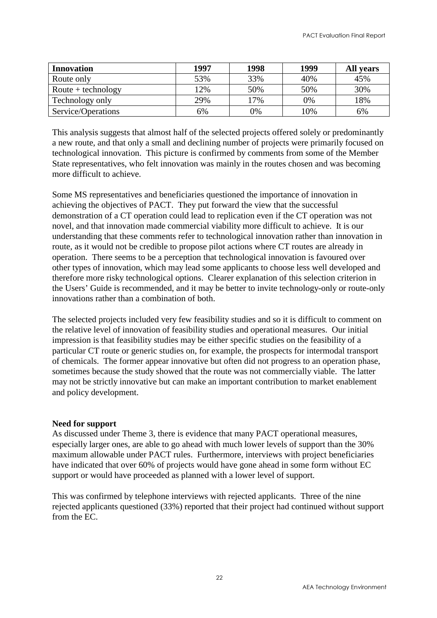| <b>Innovation</b>                  | 1997 | 1998 | 1999 | <b>All years</b> |
|------------------------------------|------|------|------|------------------|
| Route only                         | 53%  | 33%  | 40%  | 45%              |
| $\text{Route} + \text{technology}$ | 12%  | 50%  | 50%  | 30%              |
| Technology only                    | 29%  | 17%  | 0%   | 18%              |
| Service/Operations                 | 6%   | 0%   | 10%  | 6%               |

This analysis suggests that almost half of the selected projects offered solely or predominantly a new route, and that only a small and declining number of projects were primarily focused on technological innovation. This picture is confirmed by comments from some of the Member State representatives, who felt innovation was mainly in the routes chosen and was becoming more difficult to achieve.

Some MS representatives and beneficiaries questioned the importance of innovation in achieving the objectives of PACT. They put forward the view that the successful demonstration of a CT operation could lead to replication even if the CT operation was not novel, and that innovation made commercial viability more difficult to achieve. It is our understanding that these comments refer to technological innovation rather than innovation in route, as it would not be credible to propose pilot actions where CT routes are already in operation. There seems to be a perception that technological innovation is favoured over other types of innovation, which may lead some applicants to choose less well developed and therefore more risky technological options. Clearer explanation of this selection criterion in the Users' Guide is recommended, and it may be better to invite technology-only or route-only innovations rather than a combination of both.

The selected projects included very few feasibility studies and so it is difficult to comment on the relative level of innovation of feasibility studies and operational measures. Our initial impression is that feasibility studies may be either specific studies on the feasibility of a particular CT route or generic studies on, for example, the prospects for intermodal transport of chemicals. The former appear innovative but often did not progress to an operation phase, sometimes because the study showed that the route was not commercially viable. The latter may not be strictly innovative but can make an important contribution to market enablement and policy development.

#### **Need for support**

As discussed under Theme 3, there is evidence that many PACT operational measures, especially larger ones, are able to go ahead with much lower levels of support than the 30% maximum allowable under PACT rules. Furthermore, interviews with project beneficiaries have indicated that over 60% of projects would have gone ahead in some form without EC support or would have proceeded as planned with a lower level of support.

This was confirmed by telephone interviews with rejected applicants. Three of the nine rejected applicants questioned (33%) reported that their project had continued without support from the EC.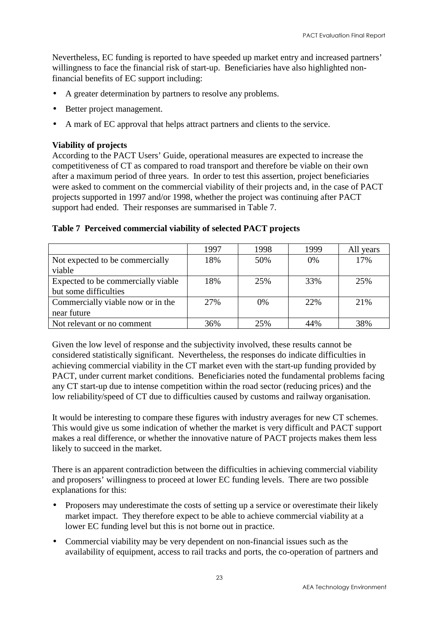Nevertheless, EC funding is reported to have speeded up market entry and increased partners' willingness to face the financial risk of start-up. Beneficiaries have also highlighted nonfinancial benefits of EC support including:

- A greater determination by partners to resolve any problems.
- Better project management.
- A mark of EC approval that helps attract partners and clients to the service.

#### **Viability of projects**

According to the PACT Users' Guide, operational measures are expected to increase the competitiveness of CT as compared to road transport and therefore be viable on their own after a maximum period of three years. In order to test this assertion, project beneficiaries were asked to comment on the commercial viability of their projects and, in the case of PACT projects supported in 1997 and/or 1998, whether the project was continuing after PACT support had ended. Their responses are summarised in Table 7.

|                                    | 1997 | 1998  | 1999 | All years |
|------------------------------------|------|-------|------|-----------|
| Not expected to be commercially    | 18%  | 50%   | 0%   | 17%       |
| viable                             |      |       |      |           |
| Expected to be commercially viable | 18%  | 25%   | 33%  | 25%       |
| but some difficulties              |      |       |      |           |
| Commercially viable now or in the  | 27%  | $0\%$ | 22%  | 21%       |
| near future                        |      |       |      |           |
| Not relevant or no comment         | 36%  | 25%   | 44%  | 38%       |

#### **Table 7 Perceived commercial viability of selected PACT projects**

Given the low level of response and the subjectivity involved, these results cannot be considered statistically significant. Nevertheless, the responses do indicate difficulties in achieving commercial viability in the CT market even with the start-up funding provided by PACT, under current market conditions. Beneficiaries noted the fundamental problems facing any CT start-up due to intense competition within the road sector (reducing prices) and the low reliability/speed of CT due to difficulties caused by customs and railway organisation.

It would be interesting to compare these figures with industry averages for new CT schemes. This would give us some indication of whether the market is very difficult and PACT support makes a real difference, or whether the innovative nature of PACT projects makes them less likely to succeed in the market.

There is an apparent contradiction between the difficulties in achieving commercial viability and proposers' willingness to proceed at lower EC funding levels. There are two possible explanations for this:

- Proposers may underestimate the costs of setting up a service or overestimate their likely market impact. They therefore expect to be able to achieve commercial viability at a lower EC funding level but this is not borne out in practice.
- Commercial viability may be very dependent on non-financial issues such as the availability of equipment, access to rail tracks and ports, the co-operation of partners and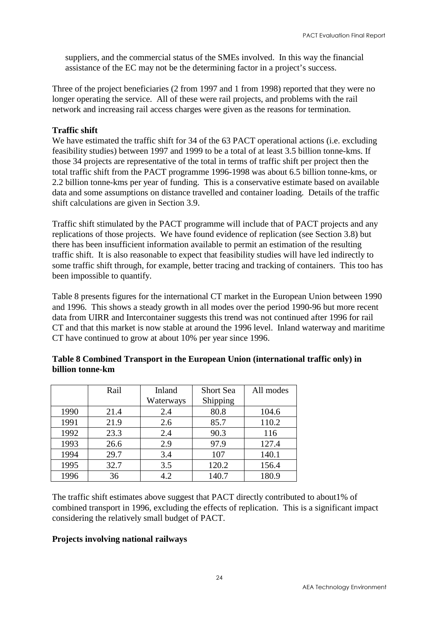suppliers, and the commercial status of the SMEs involved. In this way the financial assistance of the EC may not be the determining factor in a project's success.

Three of the project beneficiaries (2 from 1997 and 1 from 1998) reported that they were no longer operating the service. All of these were rail projects, and problems with the rail network and increasing rail access charges were given as the reasons for termination.

#### **Traffic shift**

We have estimated the traffic shift for 34 of the 63 PACT operational actions (i.e. excluding feasibility studies) between 1997 and 1999 to be a total of at least 3.5 billion tonne-kms. If those 34 projects are representative of the total in terms of traffic shift per project then the total traffic shift from the PACT programme 1996-1998 was about 6.5 billion tonne-kms, or 2.2 billion tonne-kms per year of funding. This is a conservative estimate based on available data and some assumptions on distance travelled and container loading. Details of the traffic shift calculations are given in Section 3.9.

Traffic shift stimulated by the PACT programme will include that of PACT projects and any replications of those projects. We have found evidence of replication (see Section 3.8) but there has been insufficient information available to permit an estimation of the resulting traffic shift. It is also reasonable to expect that feasibility studies will have led indirectly to some traffic shift through, for example, better tracing and tracking of containers. This too has been impossible to quantify.

Table 8 presents figures for the international CT market in the European Union between 1990 and 1996. This shows a steady growth in all modes over the period 1990-96 but more recent data from UIRR and Intercontainer suggests this trend was not continued after 1996 for rail CT and that this market is now stable at around the 1996 level. Inland waterway and maritime CT have continued to grow at about 10% per year since 1996.

|      | Rail | Inland    | <b>Short Sea</b> | All modes |
|------|------|-----------|------------------|-----------|
|      |      | Waterways | Shipping         |           |
| 1990 | 21.4 | 2.4       | 80.8             | 104.6     |
| 1991 | 21.9 | 2.6       | 85.7             | 110.2     |
| 1992 | 23.3 | 2.4       | 90.3             | 116       |
| 1993 | 26.6 | 2.9       | 97.9             | 127.4     |
| 1994 | 29.7 | 3.4       | 107              | 140.1     |
| 1995 | 32.7 | 3.5       | 120.2            | 156.4     |
| 1996 | 36   | 4.2       | 140.7            | 180.9     |

#### **Table 8 Combined Transport in the European Union (international traffic only) in billion tonne-km**

The traffic shift estimates above suggest that PACT directly contributed to about1% of combined transport in 1996, excluding the effects of replication. This is a significant impact considering the relatively small budget of PACT.

#### **Projects involving national railways**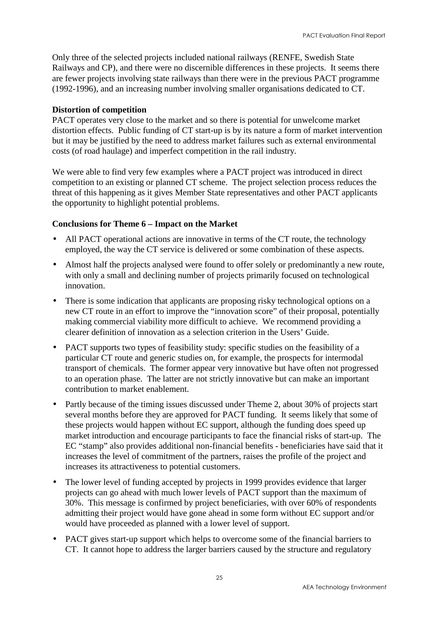Only three of the selected projects included national railways (RENFE, Swedish State Railways and CP), and there were no discernible differences in these projects. It seems there are fewer projects involving state railways than there were in the previous PACT programme (1992-1996), and an increasing number involving smaller organisations dedicated to CT.

#### **Distortion of competition**

PACT operates very close to the market and so there is potential for unwelcome market distortion effects. Public funding of CT start-up is by its nature a form of market intervention but it may be justified by the need to address market failures such as external environmental costs (of road haulage) and imperfect competition in the rail industry.

We were able to find very few examples where a PACT project was introduced in direct competition to an existing or planned CT scheme. The project selection process reduces the threat of this happening as it gives Member State representatives and other PACT applicants the opportunity to highlight potential problems.

#### **Conclusions for Theme 6 – Impact on the Market**

- All PACT operational actions are innovative in terms of the CT route, the technology employed, the way the CT service is delivered or some combination of these aspects.
- Almost half the projects analysed were found to offer solely or predominantly a new route, with only a small and declining number of projects primarily focused on technological innovation.
- There is some indication that applicants are proposing risky technological options on a new CT route in an effort to improve the "innovation score" of their proposal, potentially making commercial viability more difficult to achieve. We recommend providing a clearer definition of innovation as a selection criterion in the Users' Guide.
- PACT supports two types of feasibility study: specific studies on the feasibility of a particular CT route and generic studies on, for example, the prospects for intermodal transport of chemicals. The former appear very innovative but have often not progressed to an operation phase. The latter are not strictly innovative but can make an important contribution to market enablement.
- Partly because of the timing issues discussed under Theme 2, about 30% of projects start several months before they are approved for PACT funding. It seems likely that some of these projects would happen without EC support, although the funding does speed up market introduction and encourage participants to face the financial risks of start-up. The EC "stamp" also provides additional non-financial benefits - beneficiaries have said that it increases the level of commitment of the partners, raises the profile of the project and increases its attractiveness to potential customers.
- The lower level of funding accepted by projects in 1999 provides evidence that larger projects can go ahead with much lower levels of PACT support than the maximum of 30%. This message is confirmed by project beneficiaries, with over 60% of respondents admitting their project would have gone ahead in some form without EC support and/or would have proceeded as planned with a lower level of support.
- PACT gives start-up support which helps to overcome some of the financial barriers to CT. It cannot hope to address the larger barriers caused by the structure and regulatory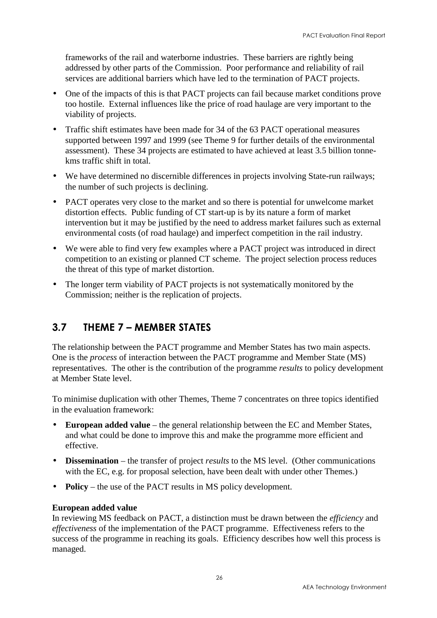<span id="page-31-0"></span>frameworks of the rail and waterborne industries. These barriers are rightly being addressed by other parts of the Commission. Poor performance and reliability of rail services are additional barriers which have led to the termination of PACT projects.

- One of the impacts of this is that PACT projects can fail because market conditions prove too hostile. External influences like the price of road haulage are very important to the viability of projects.
- Traffic shift estimates have been made for 34 of the 63 PACT operational measures supported between 1997 and 1999 (see Theme 9 for further details of the environmental assessment). These 34 projects are estimated to have achieved at least 3.5 billion tonnekms traffic shift in total.
- We have determined no discernible differences in projects involving State-run railways; the number of such projects is declining.
- PACT operates very close to the market and so there is potential for unwelcome market distortion effects. Public funding of CT start-up is by its nature a form of market intervention but it may be justified by the need to address market failures such as external environmental costs (of road haulage) and imperfect competition in the rail industry.
- We were able to find very few examples where a PACT project was introduced in direct competition to an existing or planned CT scheme. The project selection process reduces the threat of this type of market distortion.
- The longer term viability of PACT projects is not systematically monitored by the Commission; neither is the replication of projects.

### 3.7 THEME 7 – MEMBER STATES

The relationship between the PACT programme and Member States has two main aspects. One is the *process* of interaction between the PACT programme and Member State (MS) representatives. The other is the contribution of the programme *results* to policy development at Member State level.

To minimise duplication with other Themes, Theme 7 concentrates on three topics identified in the evaluation framework:

- **European added value** the general relationship between the EC and Member States, and what could be done to improve this and make the programme more efficient and effective.
- **Dissemination** the transfer of project *results* to the MS level. (Other communications with the EC, e.g. for proposal selection, have been dealt with under other Themes.)
- **Policy** the use of the PACT results in MS policy development.

#### **European added value**

In reviewing MS feedback on PACT, a distinction must be drawn between the *efficiency* and *effectiveness* of the implementation of the PACT programme. Effectiveness refers to the success of the programme in reaching its goals. Efficiency describes how well this process is managed.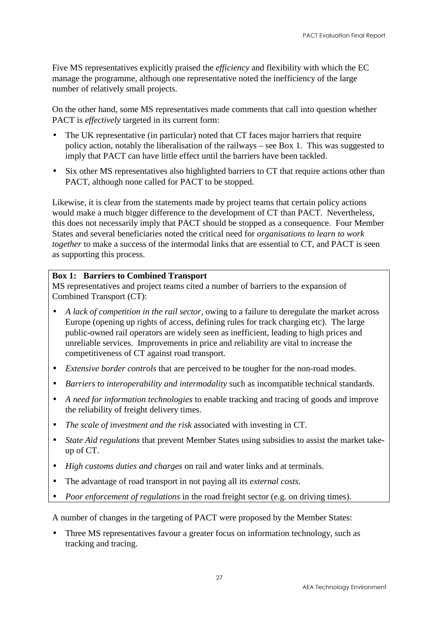Five MS representatives explicitly praised the *efficiency* and flexibility with which the EC manage the programme, although one representative noted the inefficiency of the large number of relatively small projects.

On the other hand, some MS representatives made comments that call into question whether PACT is *effectively* targeted in its current form:

- The UK representative (in particular) noted that CT faces major barriers that require policy action, notably the liberalisation of the railways – see Box 1. This was suggested to imply that PACT can have little effect until the barriers have been tackled.
- Six other MS representatives also highlighted barriers to CT that require actions other than PACT, although none called for PACT to be stopped.

Likewise, it is clear from the statements made by project teams that certain policy actions would make a much bigger difference to the development of CT than PACT. Nevertheless, this does not necessarily imply that PACT should be stopped as a consequence. Four Member States and several beneficiaries noted the critical need for *organisations to learn to work together* to make a success of the intermodal links that are essential to CT, and PACT is seen as supporting this process.

#### **Box 1: Barriers to Combined Transport**

MS representatives and project teams cited a number of barriers to the expansion of Combined Transport (CT):

- *A lack of competition in the rail sector*, owing to a failure to deregulate the market across Europe (opening up rights of access, defining rules for track charging etc). The large public-owned rail operators are widely seen as inefficient, leading to high prices and unreliable services. Improvements in price and reliability are vital to increase the competitiveness of CT against road transport.
- *Extensive border controls* that are perceived to be tougher for the non-road modes.
- *Barriers to interoperability and intermodality* such as incompatible technical standards.
- *A need for information technologies* to enable tracking and tracing of goods and improve the reliability of freight delivery times.
- *The scale of investment and the risk* associated with investing in CT.
- *State Aid regulations* that prevent Member States using subsidies to assist the market takeup of CT.
- *High customs duties and charges* on rail and water links and at terminals.
- The advantage of road transport in not paying all its *external costs*.
- *Poor enforcement of regulations* in the road freight sector (e.g. on driving times).

A number of changes in the targeting of PACT were proposed by the Member States:

• Three MS representatives favour a greater focus on information technology, such as tracking and tracing.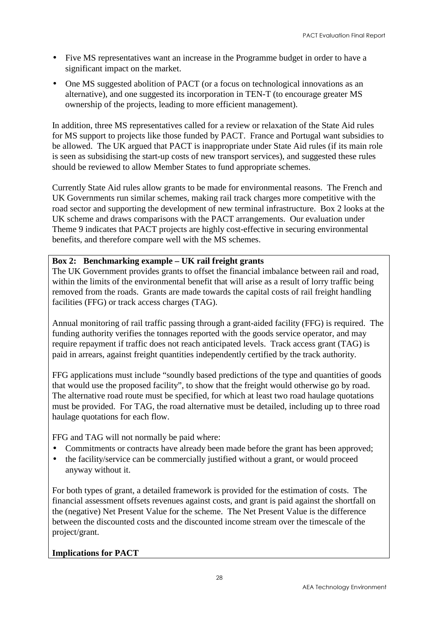- Five MS representatives want an increase in the Programme budget in order to have a significant impact on the market.
- One MS suggested abolition of PACT (or a focus on technological innovations as an alternative), and one suggested its incorporation in TEN-T (to encourage greater MS ownership of the projects, leading to more efficient management).

In addition, three MS representatives called for a review or relaxation of the State Aid rules for MS support to projects like those funded by PACT. France and Portugal want subsidies to be allowed. The UK argued that PACT is inappropriate under State Aid rules (if its main role is seen as subsidising the start-up costs of new transport services), and suggested these rules should be reviewed to allow Member States to fund appropriate schemes.

Currently State Aid rules allow grants to be made for environmental reasons. The French and UK Governments run similar schemes, making rail track charges more competitive with the road sector and supporting the development of new terminal infrastructure. Box 2 looks at the UK scheme and draws comparisons with the PACT arrangements. Our evaluation under Theme 9 indicates that PACT projects are highly cost-effective in securing environmental benefits, and therefore compare well with the MS schemes.

#### **Box 2: Benchmarking example – UK rail freight grants**

The UK Government provides grants to offset the financial imbalance between rail and road, within the limits of the environmental benefit that will arise as a result of lorry traffic being removed from the roads. Grants are made towards the capital costs of rail freight handling facilities (FFG) or track access charges (TAG).

Annual monitoring of rail traffic passing through a grant-aided facility (FFG) is required. The funding authority verifies the tonnages reported with the goods service operator, and may require repayment if traffic does not reach anticipated levels. Track access grant (TAG) is paid in arrears, against freight quantities independently certified by the track authority.

FFG applications must include "soundly based predictions of the type and quantities of goods that would use the proposed facility", to show that the freight would otherwise go by road. The alternative road route must be specified, for which at least two road haulage quotations must be provided. For TAG, the road alternative must be detailed, including up to three road haulage quotations for each flow.

FFG and TAG will not normally be paid where:

- Commitments or contracts have already been made before the grant has been approved;
- the facility/service can be commercially justified without a grant, or would proceed anyway without it.

For both types of grant, a detailed framework is provided for the estimation of costs. The financial assessment offsets revenues against costs, and grant is paid against the shortfall on the (negative) Net Present Value for the scheme. The Net Present Value is the difference between the discounted costs and the discounted income stream over the timescale of the project/grant.

#### **Implications for PACT**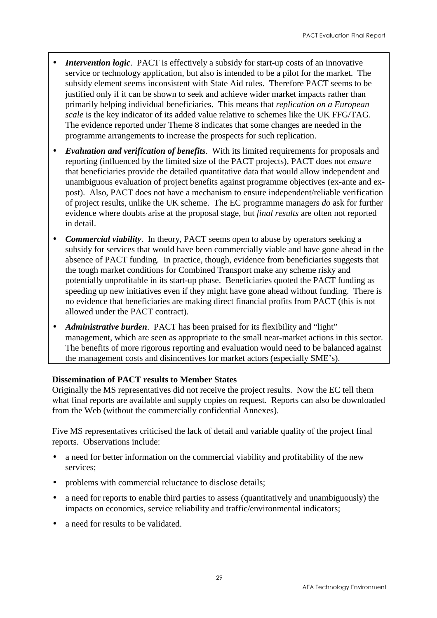- *Intervention logic.* PACT is effectively a subsidy for start-up costs of an innovative service or technology application, but also is intended to be a pilot for the market. The subsidy element seems inconsistent with State Aid rules. Therefore PACT seems to be justified only if it can be shown to seek and achieve wider market impacts rather than primarily helping individual beneficiaries. This means that *replication on a European scale* is the key indicator of its added value relative to schemes like the UK FFG/TAG. The evidence reported under Theme 8 indicates that some changes are needed in the programme arrangements to increase the prospects for such replication.
- *Evaluation and verification of benefits*. With its limited requirements for proposals and reporting (influenced by the limited size of the PACT projects), PACT does not *ensure* that beneficiaries provide the detailed quantitative data that would allow independent and unambiguous evaluation of project benefits against programme objectives (ex-ante and expost). Also, PACT does not have a mechanism to ensure independent/reliable verification of project results, unlike the UK scheme. The EC programme managers *do* ask for further evidence where doubts arise at the proposal stage, but *final results* are often not reported in detail.
- *Commercial viability*. In theory, PACT seems open to abuse by operators seeking a subsidy for services that would have been commercially viable and have gone ahead in the absence of PACT funding. In practice, though, evidence from beneficiaries suggests that the tough market conditions for Combined Transport make any scheme risky and potentially unprofitable in its start-up phase. Beneficiaries quoted the PACT funding as speeding up new initiatives even if they might have gone ahead without funding. There is no evidence that beneficiaries are making direct financial profits from PACT (this is not allowed under the PACT contract).
- *Administrative burden*. PACT has been praised for its flexibility and "light" management, which are seen as appropriate to the small near-market actions in this sector. The benefits of more rigorous reporting and evaluation would need to be balanced against the management costs and disincentives for market actors (especially SME's).

#### **Dissemination of PACT results to Member States**

Originally the MS representatives did not receive the project results. Now the EC tell them what final reports are available and supply copies on request. Reports can also be downloaded from the Web (without the commercially confidential Annexes).

Five MS representatives criticised the lack of detail and variable quality of the project final reports. Observations include:

- a need for better information on the commercial viability and profitability of the new services;
- problems with commercial reluctance to disclose details;
- a need for reports to enable third parties to assess (quantitatively and unambiguously) the impacts on economics, service reliability and traffic/environmental indicators;
- a need for results to be validated.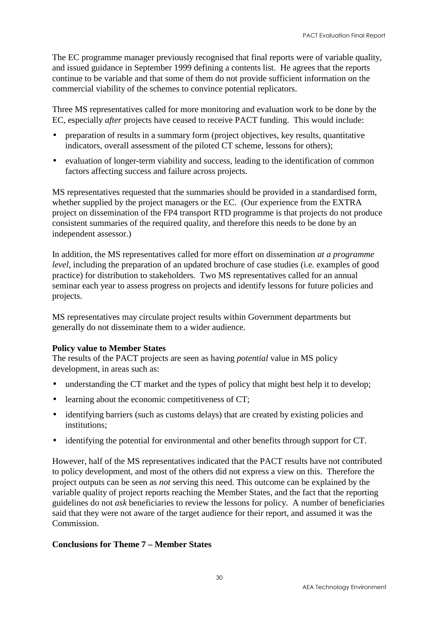The EC programme manager previously recognised that final reports were of variable quality, and issued guidance in September 1999 defining a contents list. He agrees that the reports continue to be variable and that some of them do not provide sufficient information on the commercial viability of the schemes to convince potential replicators.

Three MS representatives called for more monitoring and evaluation work to be done by the EC, especially *after* projects have ceased to receive PACT funding. This would include:

- preparation of results in a summary form (project objectives, key results, quantitative indicators, overall assessment of the piloted CT scheme, lessons for others);
- evaluation of longer-term viability and success, leading to the identification of common factors affecting success and failure across projects.

MS representatives requested that the summaries should be provided in a standardised form, whether supplied by the project managers or the EC. (Our experience from the EXTRA project on dissemination of the FP4 transport RTD programme is that projects do not produce consistent summaries of the required quality, and therefore this needs to be done by an independent assessor.)

In addition, the MS representatives called for more effort on dissemination *at a programme level*, including the preparation of an updated brochure of case studies (i.e. examples of good practice) for distribution to stakeholders. Two MS representatives called for an annual seminar each year to assess progress on projects and identify lessons for future policies and projects.

MS representatives may circulate project results within Government departments but generally do not disseminate them to a wider audience.

#### **Policy value to Member States**

The results of the PACT projects are seen as having *potential* value in MS policy development, in areas such as:

- understanding the CT market and the types of policy that might best help it to develop;
- learning about the economic competitiveness of CT;
- identifying barriers (such as customs delays) that are created by existing policies and institutions;
- identifying the potential for environmental and other benefits through support for CT.

However, half of the MS representatives indicated that the PACT results have not contributed to policy development, and most of the others did not express a view on this. Therefore the project outputs can be seen as *not* serving this need. This outcome can be explained by the variable quality of project reports reaching the Member States, and the fact that the reporting guidelines do not *ask* beneficiaries to review the lessons for policy. A number of beneficiaries said that they were not aware of the target audience for their report, and assumed it was the Commission.

#### **Conclusions for Theme 7 – Member States**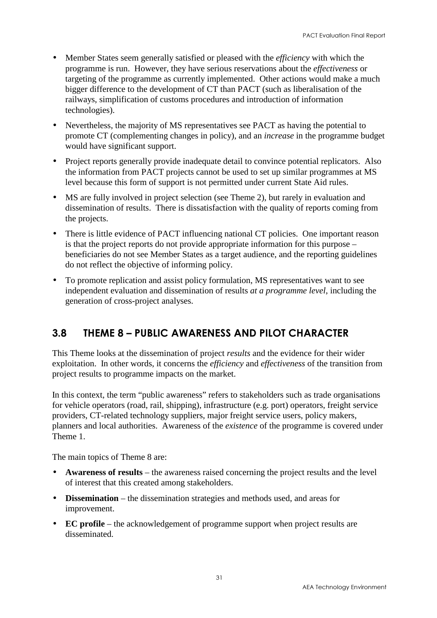- <span id="page-36-0"></span>• Member States seem generally satisfied or pleased with the *efficiency* with which the programme is run. However, they have serious reservations about the *effectiveness* or targeting of the programme as currently implemented. Other actions would make a much bigger difference to the development of CT than PACT (such as liberalisation of the railways, simplification of customs procedures and introduction of information technologies).
- Nevertheless, the majority of MS representatives see PACT as having the potential to promote CT (complementing changes in policy), and an *increase* in the programme budget would have significant support.
- Project reports generally provide inadequate detail to convince potential replicators. Also the information from PACT projects cannot be used to set up similar programmes at MS level because this form of support is not permitted under current State Aid rules.
- MS are fully involved in project selection (see Theme 2), but rarely in evaluation and dissemination of results. There is dissatisfaction with the quality of reports coming from the projects.
- There is little evidence of PACT influencing national CT policies. One important reason is that the project reports do not provide appropriate information for this purpose – beneficiaries do not see Member States as a target audience, and the reporting guidelines do not reflect the objective of informing policy.
- To promote replication and assist policy formulation, MS representatives want to see independent evaluation and dissemination of results *at a programme level*, including the generation of cross-project analyses.

### 3.8 THEME 8 – PUBLIC AWARENESS AND PILOT CHARACTER

This Theme looks at the dissemination of project *results* and the evidence for their wider exploitation. In other words, it concerns the *efficiency* and *effectiveness* of the transition from project results to programme impacts on the market.

In this context, the term "public awareness" refers to stakeholders such as trade organisations for vehicle operators (road, rail, shipping), infrastructure (e.g. port) operators, freight service providers, CT-related technology suppliers, major freight service users, policy makers, planners and local authorities. Awareness of the *existence* of the programme is covered under Theme 1.

The main topics of Theme 8 are:

- **Awareness of results** the awareness raised concerning the project results and the level of interest that this created among stakeholders.
- **Dissemination** the dissemination strategies and methods used, and areas for improvement.
- **EC profile** the acknowledgement of programme support when project results are disseminated.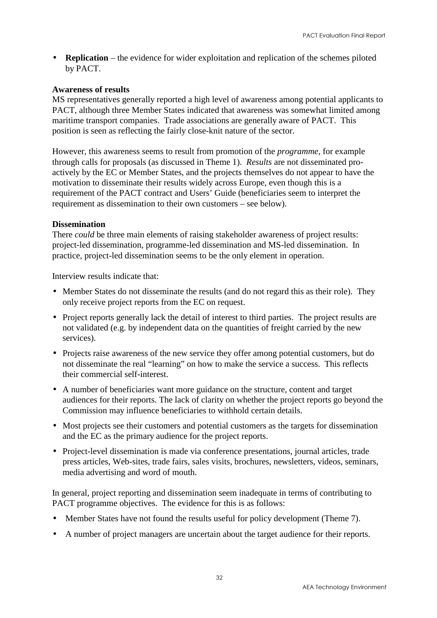• **Replication** – the evidence for wider exploitation and replication of the schemes piloted by PACT.

#### **Awareness of results**

MS representatives generally reported a high level of awareness among potential applicants to PACT, although three Member States indicated that awareness was somewhat limited among maritime transport companies. Trade associations are generally aware of PACT. This position is seen as reflecting the fairly close-knit nature of the sector.

However, this awareness seems to result from promotion of the *programme*, for example through calls for proposals (as discussed in Theme 1). *Results* are not disseminated proactively by the EC or Member States, and the projects themselves do not appear to have the motivation to disseminate their results widely across Europe, even though this is a requirement of the PACT contract and Users' Guide (beneficiaries seem to interpret the requirement as dissemination to their own customers – see below).

#### **Dissemination**

There *could* be three main elements of raising stakeholder awareness of project results: project-led dissemination, programme-led dissemination and MS-led dissemination. In practice, project-led dissemination seems to be the only element in operation.

Interview results indicate that:

- Member States do not disseminate the results (and do not regard this as their role). They only receive project reports from the EC on request.
- Project reports generally lack the detail of interest to third parties. The project results are not validated (e.g. by independent data on the quantities of freight carried by the new services).
- Projects raise awareness of the new service they offer among potential customers, but do not disseminate the real "learning" on how to make the service a success. This reflects their commercial self-interest.
- A number of beneficiaries want more guidance on the structure, content and target audiences for their reports. The lack of clarity on whether the project reports go beyond the Commission may influence beneficiaries to withhold certain details.
- Most projects see their customers and potential customers as the targets for dissemination and the EC as the primary audience for the project reports.
- Project-level dissemination is made via conference presentations, journal articles, trade press articles, Web-sites, trade fairs, sales visits, brochures, newsletters, videos, seminars, media advertising and word of mouth.

In general, project reporting and dissemination seem inadequate in terms of contributing to PACT programme objectives. The evidence for this is as follows:

- Member States have not found the results useful for policy development (Theme 7).
- A number of project managers are uncertain about the target audience for their reports.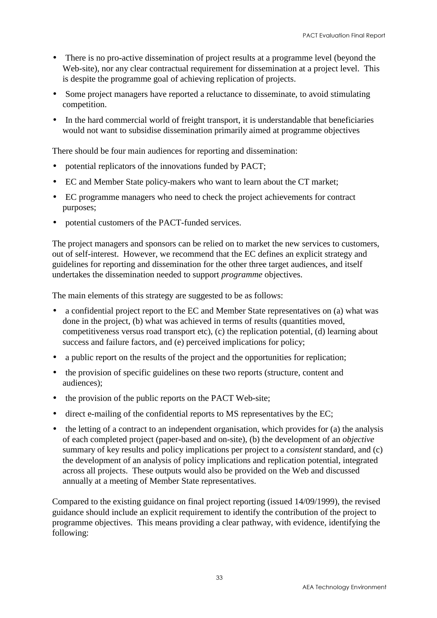- There is no pro-active dissemination of project results at a programme level (beyond the Web-site), nor any clear contractual requirement for dissemination at a project level. This is despite the programme goal of achieving replication of projects.
- Some project managers have reported a reluctance to disseminate, to avoid stimulating competition.
- In the hard commercial world of freight transport, it is understandable that beneficiaries would not want to subsidise dissemination primarily aimed at programme objectives

There should be four main audiences for reporting and dissemination:

- potential replicators of the innovations funded by PACT;
- EC and Member State policy-makers who want to learn about the CT market;
- EC programme managers who need to check the project achievements for contract purposes;
- potential customers of the PACT-funded services.

The project managers and sponsors can be relied on to market the new services to customers, out of self-interest. However, we recommend that the EC defines an explicit strategy and guidelines for reporting and dissemination for the other three target audiences, and itself undertakes the dissemination needed to support *programme* objectives.

The main elements of this strategy are suggested to be as follows:

- a confidential project report to the EC and Member State representatives on (a) what was done in the project, (b) what was achieved in terms of results (quantities moved, competitiveness versus road transport etc), (c) the replication potential, (d) learning about success and failure factors, and (e) perceived implications for policy;
- a public report on the results of the project and the opportunities for replication;
- the provision of specific guidelines on these two reports (structure, content and audiences);
- the provision of the public reports on the PACT Web-site;
- direct e-mailing of the confidential reports to MS representatives by the EC;
- the letting of a contract to an independent organisation, which provides for (a) the analysis of each completed project (paper-based and on-site), (b) the development of an *objective* summary of key results and policy implications per project to a *consistent* standard, and (c) the development of an analysis of policy implications and replication potential, integrated across all projects. These outputs would also be provided on the Web and discussed annually at a meeting of Member State representatives.

Compared to the existing guidance on final project reporting (issued 14/09/1999), the revised guidance should include an explicit requirement to identify the contribution of the project to programme objectives. This means providing a clear pathway, with evidence, identifying the following: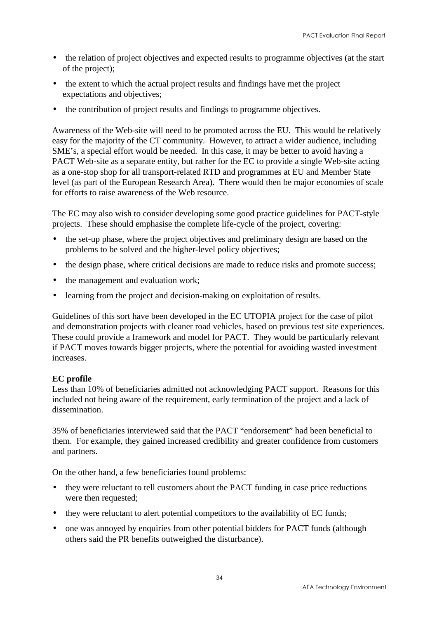- the relation of project objectives and expected results to programme objectives (at the start of the project);
- the extent to which the actual project results and findings have met the project expectations and objectives;
- the contribution of project results and findings to programme objectives.

Awareness of the Web-site will need to be promoted across the EU. This would be relatively easy for the majority of the CT community. However, to attract a wider audience, including SME's, a special effort would be needed. In this case, it may be better to avoid having a PACT Web-site as a separate entity, but rather for the EC to provide a single Web-site acting as a one-stop shop for all transport-related RTD and programmes at EU and Member State level (as part of the European Research Area). There would then be major economies of scale for efforts to raise awareness of the Web resource.

The EC may also wish to consider developing some good practice guidelines for PACT-style projects. These should emphasise the complete life-cycle of the project, covering:

- the set-up phase, where the project objectives and preliminary design are based on the problems to be solved and the higher-level policy objectives;
- the design phase, where critical decisions are made to reduce risks and promote success;
- the management and evaluation work:
- learning from the project and decision-making on exploitation of results.

Guidelines of this sort have been developed in the EC UTOPIA project for the case of pilot and demonstration projects with cleaner road vehicles, based on previous test site experiences. These could provide a framework and model for PACT. They would be particularly relevant if PACT moves towards bigger projects, where the potential for avoiding wasted investment increases.

#### **EC profile**

Less than 10% of beneficiaries admitted not acknowledging PACT support. Reasons for this included not being aware of the requirement, early termination of the project and a lack of dissemination.

35% of beneficiaries interviewed said that the PACT "endorsement" had been beneficial to them. For example, they gained increased credibility and greater confidence from customers and partners.

On the other hand, a few beneficiaries found problems:

- they were reluctant to tell customers about the PACT funding in case price reductions were then requested;
- they were reluctant to alert potential competitors to the availability of EC funds;
- one was annoyed by enquiries from other potential bidders for PACT funds (although others said the PR benefits outweighed the disturbance).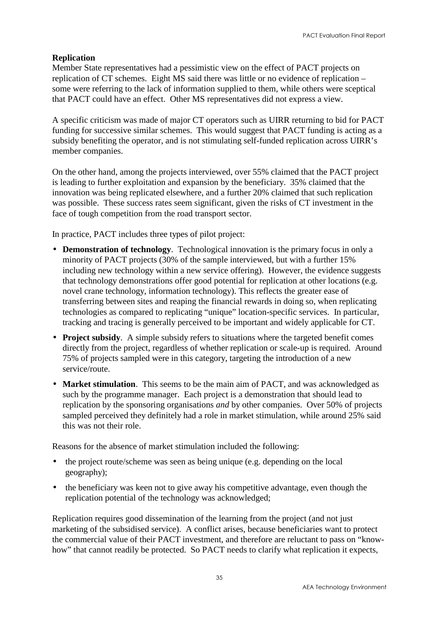#### **Replication**

Member State representatives had a pessimistic view on the effect of PACT projects on replication of CT schemes. Eight MS said there was little or no evidence of replication – some were referring to the lack of information supplied to them, while others were sceptical that PACT could have an effect. Other MS representatives did not express a view.

A specific criticism was made of major CT operators such as UIRR returning to bid for PACT funding for successive similar schemes. This would suggest that PACT funding is acting as a subsidy benefiting the operator, and is not stimulating self-funded replication across UIRR's member companies.

On the other hand, among the projects interviewed, over 55% claimed that the PACT project is leading to further exploitation and expansion by the beneficiary. 35% claimed that the innovation was being replicated elsewhere, and a further 20% claimed that such replication was possible. These success rates seem significant, given the risks of CT investment in the face of tough competition from the road transport sector.

In practice, PACT includes three types of pilot project:

- **Demonstration of technology**. Technological innovation is the primary focus in only a minority of PACT projects (30% of the sample interviewed, but with a further 15% including new technology within a new service offering). However, the evidence suggests that technology demonstrations offer good potential for replication at other locations (e.g. novel crane technology, information technology). This reflects the greater ease of transferring between sites and reaping the financial rewards in doing so, when replicating technologies as compared to replicating "unique" location-specific services. In particular, tracking and tracing is generally perceived to be important and widely applicable for CT.
- **Project subsidy**. A simple subsidy refers to situations where the targeted benefit comes directly from the project, regardless of whether replication or scale-up is required. Around 75% of projects sampled were in this category, targeting the introduction of a new service/route.
- **Market stimulation**. This seems to be the main aim of PACT, and was acknowledged as such by the programme manager. Each project is a demonstration that should lead to replication by the sponsoring organisations *and* by other companies. Over 50% of projects sampled perceived they definitely had a role in market stimulation, while around 25% said this was not their role.

Reasons for the absence of market stimulation included the following:

- the project route/scheme was seen as being unique (e.g. depending on the local geography);
- the beneficiary was keen not to give away his competitive advantage, even though the replication potential of the technology was acknowledged;

Replication requires good dissemination of the learning from the project (and not just marketing of the subsidised service). A conflict arises, because beneficiaries want to protect the commercial value of their PACT investment, and therefore are reluctant to pass on "knowhow" that cannot readily be protected. So PACT needs to clarify what replication it expects,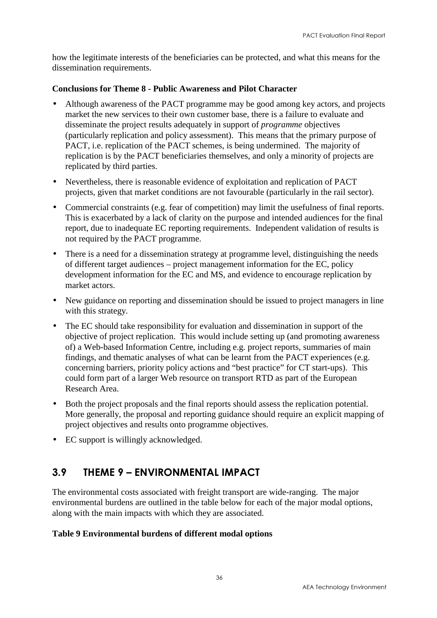<span id="page-41-0"></span>how the legitimate interests of the beneficiaries can be protected, and what this means for the dissemination requirements.

#### **Conclusions for Theme 8 - Public Awareness and Pilot Character**

- Although awareness of the PACT programme may be good among key actors, and projects market the new services to their own customer base, there is a failure to evaluate and disseminate the project results adequately in support of *programme* objectives (particularly replication and policy assessment). This means that the primary purpose of PACT, i.e. replication of the PACT schemes, is being undermined. The majority of replication is by the PACT beneficiaries themselves, and only a minority of projects are replicated by third parties.
- Nevertheless, there is reasonable evidence of exploitation and replication of PACT projects, given that market conditions are not favourable (particularly in the rail sector).
- Commercial constraints (e.g. fear of competition) may limit the usefulness of final reports. This is exacerbated by a lack of clarity on the purpose and intended audiences for the final report, due to inadequate EC reporting requirements. Independent validation of results is not required by the PACT programme.
- There is a need for a dissemination strategy at programme level, distinguishing the needs of different target audiences – project management information for the EC, policy development information for the EC and MS, and evidence to encourage replication by market actors.
- New guidance on reporting and dissemination should be issued to project managers in line with this strategy.
- The EC should take responsibility for evaluation and dissemination in support of the objective of project replication. This would include setting up (and promoting awareness of) a Web-based Information Centre, including e.g. project reports, summaries of main findings, and thematic analyses of what can be learnt from the PACT experiences (e.g. concerning barriers, priority policy actions and "best practice" for CT start-ups). This could form part of a larger Web resource on transport RTD as part of the European Research Area.
- Both the project proposals and the final reports should assess the replication potential. More generally, the proposal and reporting guidance should require an explicit mapping of project objectives and results onto programme objectives.
- EC support is willingly acknowledged.

### 3.9 THEME 9 – ENVIRONMENTAL IMPACT

The environmental costs associated with freight transport are wide-ranging. The major environmental burdens are outlined in the table below for each of the major modal options, along with the main impacts with which they are associated.

#### **Table 9 Environmental burdens of different modal options**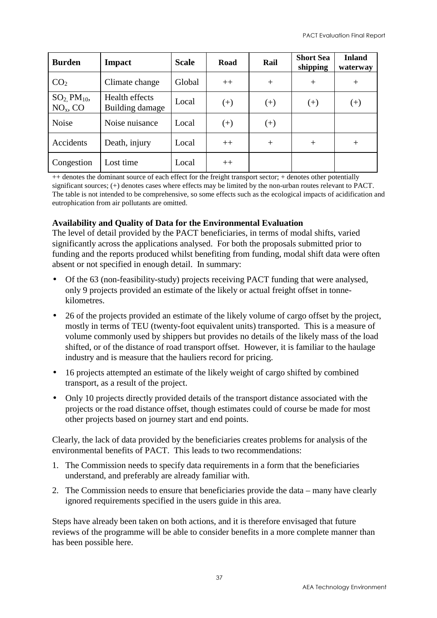| <b>Burden</b>                          | <b>Impact</b>                     | <b>Scale</b> | Road     | Rail  | <b>Short Sea</b><br>shipping | <b>Inland</b><br>waterway |
|----------------------------------------|-----------------------------------|--------------|----------|-------|------------------------------|---------------------------|
| CO <sub>2</sub>                        | Climate change                    | Global       | $++$     | $+$   | $+$                          | $^+$                      |
| $SO2$ PM <sub>10</sub> ,<br>$NOx$ , CO | Health effects<br>Building damage | Local        | $^{(+)}$ | $(+)$ | $(+)$                        | $^{(+)}$                  |
| <b>Noise</b>                           | Noise nuisance                    | Local        | $^{(+)}$ | $(+)$ |                              |                           |
| Accidents                              | Death, injury                     | Local        | $++$     | $+$   | $^{+}$                       | $^+$                      |
| Congestion                             | Lost time                         | Local        | $++$     |       |                              |                           |

++ denotes the dominant source of each effect for the freight transport sector; + denotes other potentially significant sources; (+) denotes cases where effects may be limited by the non-urban routes relevant to PACT. The table is not intended to be comprehensive, so some effects such as the ecological impacts of acidification and eutrophication from air pollutants are omitted.

#### **Availability and Quality of Data for the Environmental Evaluation**

The level of detail provided by the PACT beneficiaries, in terms of modal shifts, varied significantly across the applications analysed. For both the proposals submitted prior to funding and the reports produced whilst benefiting from funding, modal shift data were often absent or not specified in enough detail. In summary:

- Of the 63 (non-feasibility-study) projects receiving PACT funding that were analysed, only 9 projects provided an estimate of the likely or actual freight offset in tonnekilometres.
- 26 of the projects provided an estimate of the likely volume of cargo offset by the project, mostly in terms of TEU (twenty-foot equivalent units) transported. This is a measure of volume commonly used by shippers but provides no details of the likely mass of the load shifted, or of the distance of road transport offset. However, it is familiar to the haulage industry and is measure that the hauliers record for pricing.
- 16 projects attempted an estimate of the likely weight of cargo shifted by combined transport, as a result of the project.
- Only 10 projects directly provided details of the transport distance associated with the projects or the road distance offset, though estimates could of course be made for most other projects based on journey start and end points.

Clearly, the lack of data provided by the beneficiaries creates problems for analysis of the environmental benefits of PACT. This leads to two recommendations:

- 1. The Commission needs to specify data requirements in a form that the beneficiaries understand, and preferably are already familiar with.
- 2. The Commission needs to ensure that beneficiaries provide the data many have clearly ignored requirements specified in the users guide in this area.

Steps have already been taken on both actions, and it is therefore envisaged that future reviews of the programme will be able to consider benefits in a more complete manner than has been possible here.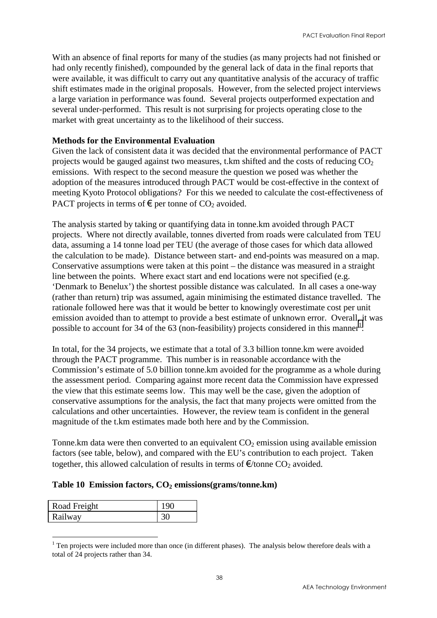With an absence of final reports for many of the studies (as many projects had not finished or had only recently finished), compounded by the general lack of data in the final reports that were available, it was difficult to carry out any quantitative analysis of the accuracy of traffic shift estimates made in the original proposals. However, from the selected project interviews a large variation in performance was found. Several projects outperformed expectation and several under-performed. This result is not surprising for projects operating close to the market with great uncertainty as to the likelihood of their success.

#### **Methods for the Environmental Evaluation**

Given the lack of consistent data it was decided that the environmental performance of PACT projects would be gauged against two measures, t.km shifted and the costs of reducing  $CO<sub>2</sub>$ emissions. With respect to the second measure the question we posed was whether the adoption of the measures introduced through PACT would be cost-effective in the context of meeting Kyoto Protocol obligations? For this we needed to calculate the cost-effectiveness of PACT projects in terms of  $\epsilon$  per tonne of CO<sub>2</sub> avoided.

The analysis started by taking or quantifying data in tonne.km avoided through PACT projects. Where not directly available, tonnes diverted from roads were calculated from TEU data, assuming a 14 tonne load per TEU (the average of those cases for which data allowed the calculation to be made). Distance between start- and end-points was measured on a map. Conservative assumptions were taken at this point – the distance was measured in a straight line between the points. Where exact start and end locations were not specified (e.g. 'Denmark to Benelux') the shortest possible distance was calculated. In all cases a one-way (rather than return) trip was assumed, again minimising the estimated distance travelled. The rationale followed here was that it would be better to knowingly overestimate cost per unit emission avoided than to attempt to provide a best estimate of unknown error. Overall, it was possible to account for 34 of the 63 (non-feasibility) projects considered in this manner<sup>1</sup>.

In total, for the 34 projects, we estimate that a total of 3.3 billion tonne.km were avoided through the PACT programme. This number is in reasonable accordance with the Commission's estimate of 5.0 billion tonne.km avoided for the programme as a whole during the assessment period. Comparing against more recent data the Commission have expressed the view that this estimate seems low. This may well be the case, given the adoption of conservative assumptions for the analysis, the fact that many projects were omitted from the calculations and other uncertainties. However, the review team is confident in the general magnitude of the t.km estimates made both here and by the Commission.

Tonne.km data were then converted to an equivalent  $CO<sub>2</sub>$  emission using available emission factors (see table, below), and compared with the EU's contribution to each project. Taken together, this allowed calculation of results in terms of  $\epsilon$ /tonne CO<sub>2</sub> avoided.

#### **Table 10 Emission factors, CO2 emissions(grams/tonne.km)**

| Road Freight   |  |
|----------------|--|
| <b>Railway</b> |  |

 $1$  Ten projects were included more than once (in different phases). The analysis below therefore deals with a total of 24 projects rather than 34.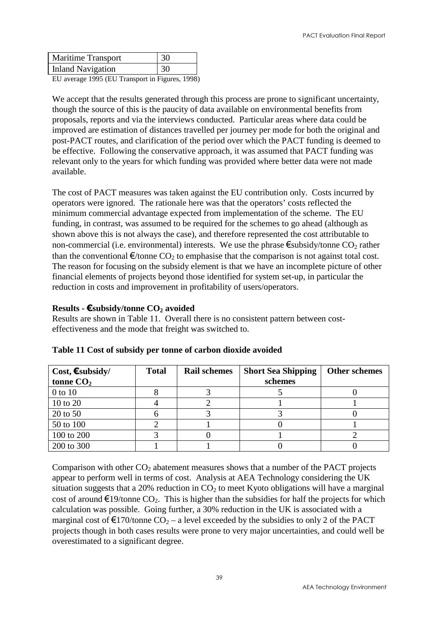| <b>Maritime Transport</b> | 30 |
|---------------------------|----|
| <b>Inland Navigation</b>  | 30 |
|                           |    |

EU average 1995 (EU Transport in Figures, 1998)

We accept that the results generated through this process are prone to significant uncertainty, though the source of this is the paucity of data available on environmental benefits from proposals, reports and via the interviews conducted. Particular areas where data could be improved are estimation of distances travelled per journey per mode for both the original and post-PACT routes, and clarification of the period over which the PACT funding is deemed to be effective. Following the conservative approach, it was assumed that PACT funding was relevant only to the years for which funding was provided where better data were not made available.

The cost of PACT measures was taken against the EU contribution only. Costs incurred by operators were ignored. The rationale here was that the operators' costs reflected the minimum commercial advantage expected from implementation of the scheme. The EU funding, in contrast, was assumed to be required for the schemes to go ahead (although as shown above this is not always the case), and therefore represented the cost attributable to non-commercial (i.e. environmental) interests. We use the phrase  $\epsilon$ subsidy/tonne CO<sub>2</sub> rather than the conventional  $\epsilon$ /tonne CO<sub>2</sub> to emphasise that the comparison is not against total cost. The reason for focusing on the subsidy element is that we have an incomplete picture of other financial elements of projects beyond those identified for system set-up, in particular the reduction in costs and improvement in profitability of users/operators.

#### **Results -** €**subsidy/tonne CO2 avoided**

Results are shown in Table 11. Overall there is no consistent pattern between costeffectiveness and the mode that freight was switched to.

| Cost, $\epsilon$ subsidy/ | <b>Total</b> | <b>Rail schemes</b> | <b>Short Sea Shipping</b> | <b>Other schemes</b> |
|---------------------------|--------------|---------------------|---------------------------|----------------------|
| tonne $CO2$               |              |                     | schemes                   |                      |
| $0$ to $10$               |              |                     |                           |                      |
| 10 to 20                  |              |                     |                           |                      |
| 20 to 50                  |              |                     |                           |                      |
| 50 to 100                 |              |                     |                           |                      |
| 100 to 200                |              |                     |                           |                      |
| 200 to 300                |              |                     |                           |                      |

|  |  |  |  |  |  |  | Table 11 Cost of subsidy per tonne of carbon dioxide avoided |  |  |  |
|--|--|--|--|--|--|--|--------------------------------------------------------------|--|--|--|
|--|--|--|--|--|--|--|--------------------------------------------------------------|--|--|--|

Comparison with other  $CO<sub>2</sub>$  abatement measures shows that a number of the PACT projects appear to perform well in terms of cost. Analysis at AEA Technology considering the UK situation suggests that a 20% reduction in  $CO<sub>2</sub>$  to meet Kyoto obligations will have a marginal cost of around  $\epsilon$ 19/tonne CO<sub>2</sub>. This is higher than the subsidies for half the projects for which calculation was possible. Going further, a 30% reduction in the UK is associated with a marginal cost of  $\epsilon$ 170/tonne CO<sub>2</sub> – a level exceeded by the subsidies to only 2 of the PACT projects though in both cases results were prone to very major uncertainties, and could well be overestimated to a significant degree.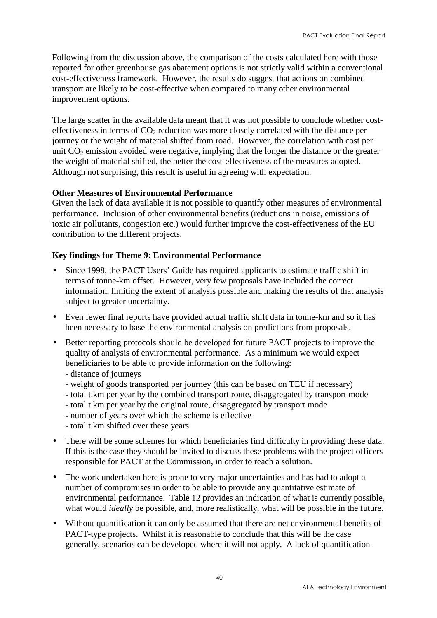Following from the discussion above, the comparison of the costs calculated here with those reported for other greenhouse gas abatement options is not strictly valid within a conventional cost-effectiveness framework. However, the results do suggest that actions on combined transport are likely to be cost-effective when compared to many other environmental improvement options.

The large scatter in the available data meant that it was not possible to conclude whether costeffectiveness in terms of  $CO<sub>2</sub>$  reduction was more closely correlated with the distance per journey or the weight of material shifted from road. However, the correlation with cost per unit  $CO<sub>2</sub>$  emission avoided were negative, implying that the longer the distance or the greater the weight of material shifted, the better the cost-effectiveness of the measures adopted. Although not surprising, this result is useful in agreeing with expectation.

#### **Other Measures of Environmental Performance**

Given the lack of data available it is not possible to quantify other measures of environmental performance. Inclusion of other environmental benefits (reductions in noise, emissions of toxic air pollutants, congestion etc.) would further improve the cost-effectiveness of the EU contribution to the different projects.

#### **Key findings for Theme 9: Environmental Performance**

- Since 1998, the PACT Users' Guide has required applicants to estimate traffic shift in terms of tonne-km offset. However, very few proposals have included the correct information, limiting the extent of analysis possible and making the results of that analysis subject to greater uncertainty.
- Even fewer final reports have provided actual traffic shift data in tonne-km and so it has been necessary to base the environmental analysis on predictions from proposals.
- Better reporting protocols should be developed for future PACT projects to improve the quality of analysis of environmental performance. As a minimum we would expect beneficiaries to be able to provide information on the following:
	- distance of journeys
	- weight of goods transported per journey (this can be based on TEU if necessary)
	- total t.km per year by the combined transport route, disaggregated by transport mode
	- total t.km per year by the original route, disaggregated by transport mode
	- number of years over which the scheme is effective
	- total t.km shifted over these years
- There will be some schemes for which beneficiaries find difficulty in providing these data. If this is the case they should be invited to discuss these problems with the project officers responsible for PACT at the Commission, in order to reach a solution.
- The work undertaken here is prone to very major uncertainties and has had to adopt a number of compromises in order to be able to provide any quantitative estimate of environmental performance. Table 12 provides an indication of what is currently possible, what would *ideally* be possible, and, more realistically, what will be possible in the future.
- Without quantification it can only be assumed that there are net environmental benefits of PACT-type projects. Whilst it is reasonable to conclude that this will be the case generally, scenarios can be developed where it will not apply. A lack of quantification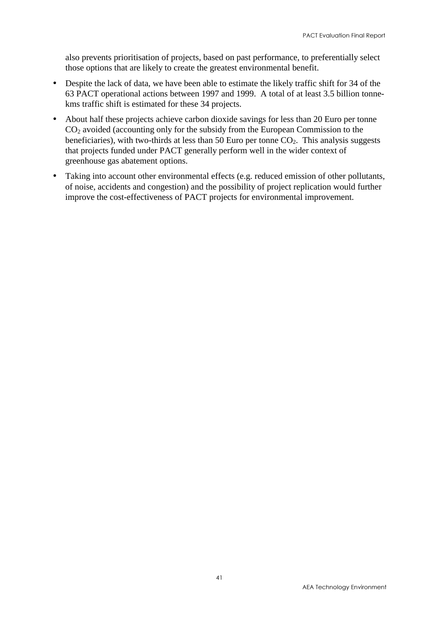also prevents prioritisation of projects, based on past performance, to preferentially select those options that are likely to create the greatest environmental benefit.

- Despite the lack of data, we have been able to estimate the likely traffic shift for 34 of the 63 PACT operational actions between 1997 and 1999. A total of at least 3.5 billion tonnekms traffic shift is estimated for these 34 projects.
- About half these projects achieve carbon dioxide savings for less than 20 Euro per tonne CO2 avoided (accounting only for the subsidy from the European Commission to the beneficiaries), with two-thirds at less than 50 Euro per tonne  $CO<sub>2</sub>$ . This analysis suggests that projects funded under PACT generally perform well in the wider context of greenhouse gas abatement options.
- Taking into account other environmental effects (e.g. reduced emission of other pollutants, of noise, accidents and congestion) and the possibility of project replication would further improve the cost-effectiveness of PACT projects for environmental improvement.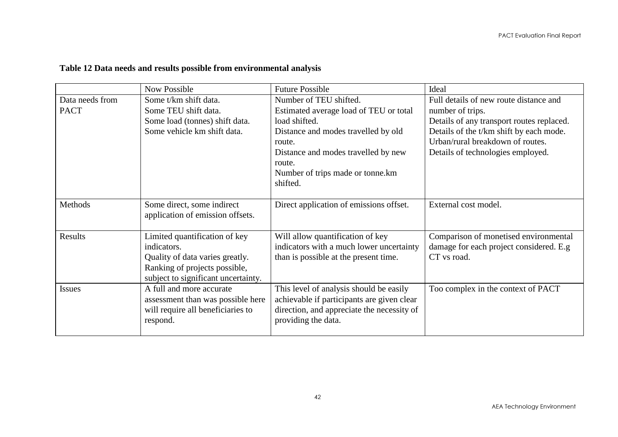|                 | <b>Now Possible</b>                 | <b>Future Possible</b>                     | Ideal                                     |
|-----------------|-------------------------------------|--------------------------------------------|-------------------------------------------|
| Data needs from | Some t/km shift data.               | Number of TEU shifted.                     | Full details of new route distance and    |
| <b>PACT</b>     | Some TEU shift data.                | Estimated average load of TEU or total     | number of trips.                          |
|                 | Some load (tonnes) shift data.      | load shifted.                              | Details of any transport routes replaced. |
|                 | Some vehicle km shift data.         | Distance and modes travelled by old        | Details of the t/km shift by each mode.   |
|                 |                                     | route.                                     | Urban/rural breakdown of routes.          |
|                 |                                     | Distance and modes travelled by new        | Details of technologies employed.         |
|                 |                                     | route.                                     |                                           |
|                 |                                     | Number of trips made or tonne.km           |                                           |
|                 |                                     | shifted.                                   |                                           |
|                 |                                     |                                            |                                           |
| Methods         | Some direct, some indirect          | Direct application of emissions offset.    | External cost model.                      |
|                 | application of emission offsets.    |                                            |                                           |
|                 |                                     |                                            |                                           |
| Results         | Limited quantification of key       | Will allow quantification of key           | Comparison of monetised environmental     |
|                 | indicators.                         | indicators with a much lower uncertainty   | damage for each project considered. E.g   |
|                 | Quality of data varies greatly.     | than is possible at the present time.      | CT vs road.                               |
|                 | Ranking of projects possible,       |                                            |                                           |
|                 | subject to significant uncertainty. |                                            |                                           |
| <b>Issues</b>   | A full and more accurate            | This level of analysis should be easily    | Too complex in the context of PACT        |
|                 | assessment than was possible here   | achievable if participants are given clear |                                           |
|                 | will require all beneficiaries to   | direction, and appreciate the necessity of |                                           |
|                 | respond.                            | providing the data.                        |                                           |
|                 |                                     |                                            |                                           |

#### **Table 12 Data needs and results possible from environmental analysis**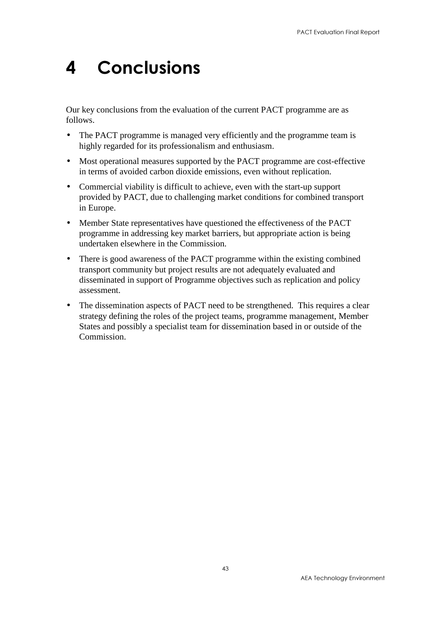# <span id="page-48-0"></span>4 Conclusions

Our key conclusions from the evaluation of the current PACT programme are as follows.

- The PACT programme is managed very efficiently and the programme team is highly regarded for its professionalism and enthusiasm.
- Most operational measures supported by the PACT programme are cost-effective in terms of avoided carbon dioxide emissions, even without replication.
- Commercial viability is difficult to achieve, even with the start-up support provided by PACT, due to challenging market conditions for combined transport in Europe.
- Member State representatives have questioned the effectiveness of the PACT programme in addressing key market barriers, but appropriate action is being undertaken elsewhere in the Commission.
- There is good awareness of the PACT programme within the existing combined transport community but project results are not adequately evaluated and disseminated in support of Programme objectives such as replication and policy assessment.
- The dissemination aspects of PACT need to be strengthened. This requires a clear strategy defining the roles of the project teams, programme management, Member States and possibly a specialist team for dissemination based in or outside of the Commission.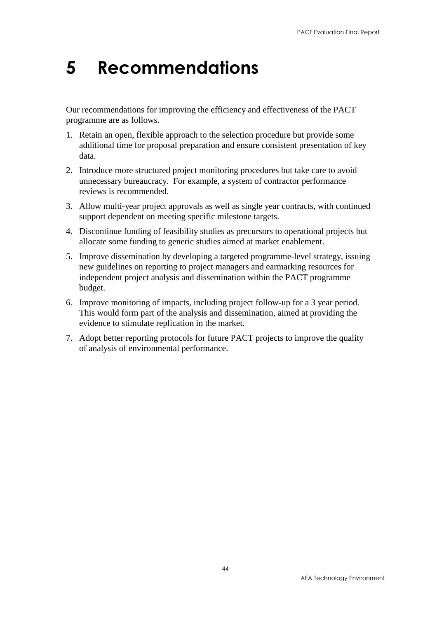# <span id="page-49-0"></span>5 Recommendations

Our recommendations for improving the efficiency and effectiveness of the PACT programme are as follows.

- 1. Retain an open, flexible approach to the selection procedure but provide some additional time for proposal preparation and ensure consistent presentation of key data.
- 2. Introduce more structured project monitoring procedures but take care to avoid unnecessary bureaucracy. For example, a system of contractor performance reviews is recommended.
- 3. Allow multi-year project approvals as well as single year contracts, with continued support dependent on meeting specific milestone targets.
- 4. Discontinue funding of feasibility studies as precursors to operational projects but allocate some funding to generic studies aimed at market enablement.
- 5. Improve dissemination by developing a targeted programme-level strategy, issuing new guidelines on reporting to project managers and earmarking resources for independent project analysis and dissemination within the PACT programme budget.
- 6. Improve monitoring of impacts, including project follow-up for a 3 year period. This would form part of the analysis and dissemination, aimed at providing the evidence to stimulate replication in the market.
- 7. Adopt better reporting protocols for future PACT projects to improve the quality of analysis of environmental performance.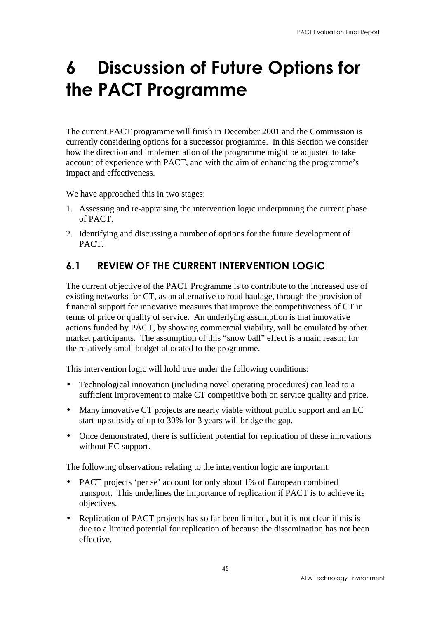# <span id="page-50-0"></span>6 Discussion of Future Options for the PACT Programme

The current PACT programme will finish in December 2001 and the Commission is currently considering options for a successor programme. In this Section we consider how the direction and implementation of the programme might be adjusted to take account of experience with PACT, and with the aim of enhancing the programme's impact and effectiveness.

We have approached this in two stages:

- 1. Assessing and re-appraising the intervention logic underpinning the current phase of PACT.
- 2. Identifying and discussing a number of options for the future development of PACT.

### 6.1 REVIEW OF THE CURRENT INTERVENTION LOGIC

The current objective of the PACT Programme is to contribute to the increased use of existing networks for CT, as an alternative to road haulage, through the provision of financial support for innovative measures that improve the competitiveness of CT in terms of price or quality of service. An underlying assumption is that innovative actions funded by PACT, by showing commercial viability, will be emulated by other market participants. The assumption of this "snow ball" effect is a main reason for the relatively small budget allocated to the programme.

This intervention logic will hold true under the following conditions:

- Technological innovation (including novel operating procedures) can lead to a sufficient improvement to make CT competitive both on service quality and price.
- Many innovative CT projects are nearly viable without public support and an EC start-up subsidy of up to 30% for 3 years will bridge the gap.
- Once demonstrated, there is sufficient potential for replication of these innovations without EC support.

The following observations relating to the intervention logic are important:

- PACT projects 'per se' account for only about 1% of European combined transport. This underlines the importance of replication if PACT is to achieve its objectives.
- Replication of PACT projects has so far been limited, but it is not clear if this is due to a limited potential for replication of because the dissemination has not been effective.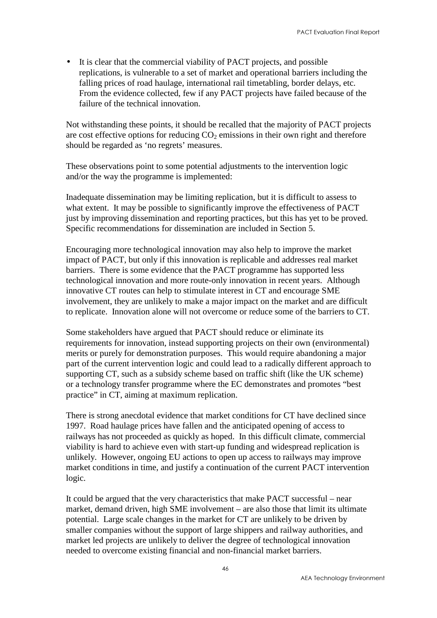• It is clear that the commercial viability of PACT projects, and possible replications, is vulnerable to a set of market and operational barriers including the falling prices of road haulage, international rail timetabling, border delays, etc. From the evidence collected, few if any PACT projects have failed because of the failure of the technical innovation.

Not withstanding these points, it should be recalled that the majority of PACT projects are cost effective options for reducing  $CO<sub>2</sub>$  emissions in their own right and therefore should be regarded as 'no regrets' measures.

These observations point to some potential adjustments to the intervention logic and/or the way the programme is implemented:

Inadequate dissemination may be limiting replication, but it is difficult to assess to what extent. It may be possible to significantly improve the effectiveness of PACT just by improving dissemination and reporting practices, but this has yet to be proved. Specific recommendations for dissemination are included in Section 5.

Encouraging more technological innovation may also help to improve the market impact of PACT, but only if this innovation is replicable and addresses real market barriers. There is some evidence that the PACT programme has supported less technological innovation and more route-only innovation in recent years. Although innovative CT routes can help to stimulate interest in CT and encourage SME involvement, they are unlikely to make a major impact on the market and are difficult to replicate. Innovation alone will not overcome or reduce some of the barriers to CT.

Some stakeholders have argued that PACT should reduce or eliminate its requirements for innovation, instead supporting projects on their own (environmental) merits or purely for demonstration purposes. This would require abandoning a major part of the current intervention logic and could lead to a radically different approach to supporting CT, such as a subsidy scheme based on traffic shift (like the UK scheme) or a technology transfer programme where the EC demonstrates and promotes "best practice" in CT, aiming at maximum replication.

There is strong anecdotal evidence that market conditions for CT have declined since 1997. Road haulage prices have fallen and the anticipated opening of access to railways has not proceeded as quickly as hoped. In this difficult climate, commercial viability is hard to achieve even with start-up funding and widespread replication is unlikely. However, ongoing EU actions to open up access to railways may improve market conditions in time, and justify a continuation of the current PACT intervention logic.

It could be argued that the very characteristics that make PACT successful – near market, demand driven, high SME involvement – are also those that limit its ultimate potential. Large scale changes in the market for CT are unlikely to be driven by smaller companies without the support of large shippers and railway authorities, and market led projects are unlikely to deliver the degree of technological innovation needed to overcome existing financial and non-financial market barriers.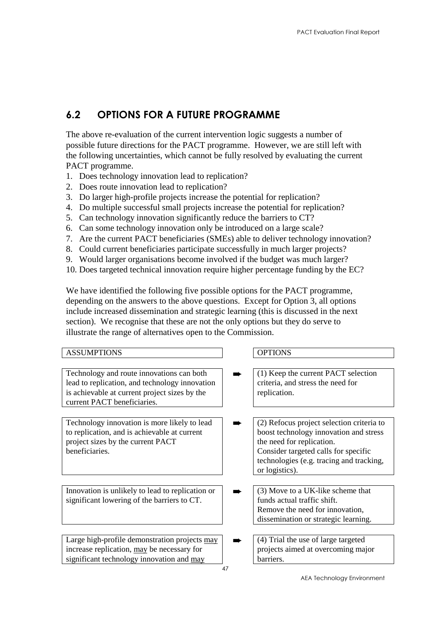### <span id="page-52-0"></span>6.2 OPTIONS FOR A FUTURE PROGRAMME

The above re-evaluation of the current intervention logic suggests a number of possible future directions for the PACT programme. However, we are still left with the following uncertainties, which cannot be fully resolved by evaluating the current PACT programme.

- 1. Does technology innovation lead to replication?
- 2. Does route innovation lead to replication?
- 3. Do larger high-profile projects increase the potential for replication?
- 4. Do multiple successful small projects increase the potential for replication?
- 5. Can technology innovation significantly reduce the barriers to CT?
- 6. Can some technology innovation only be introduced on a large scale?
- 7. Are the current PACT beneficiaries (SMEs) able to deliver technology innovation?
- 8. Could current beneficiaries participate successfully in much larger projects?
- 9. Would larger organisations become involved if the budget was much larger?
- 10. Does targeted technical innovation require higher percentage funding by the EC?

We have identified the following five possible options for the PACT programme, depending on the answers to the above questions. Except for Option 3, all options include increased dissemination and strategic learning (this is discussed in the next section). We recognise that these are not the only options but they do serve to illustrate the range of alternatives open to the Commission.

| <b>ASSUMPTIONS</b>                                                                                                                                  | <b>OPTIONS</b>                                                                                                                                                                                                         |
|-----------------------------------------------------------------------------------------------------------------------------------------------------|------------------------------------------------------------------------------------------------------------------------------------------------------------------------------------------------------------------------|
|                                                                                                                                                     |                                                                                                                                                                                                                        |
| Technology and route innovations can both<br>lead to replication, and technology innovation<br>is achievable at current project sizes by the        | (1) Keep the current PACT selection<br>criteria, and stress the need for<br>replication.                                                                                                                               |
| current PACT beneficiaries.                                                                                                                         |                                                                                                                                                                                                                        |
| Technology innovation is more likely to lead<br>to replication, and is achievable at current<br>project sizes by the current PACT<br>beneficiaries. | (2) Refocus project selection criteria to<br>boost technology innovation and stress<br>the need for replication.<br>Consider targeted calls for specific<br>technologies (e.g. tracing and tracking,<br>or logistics). |
|                                                                                                                                                     |                                                                                                                                                                                                                        |
| Innovation is unlikely to lead to replication or                                                                                                    | (3) Move to a UK-like scheme that                                                                                                                                                                                      |
| significant lowering of the barriers to CT.                                                                                                         | funds actual traffic shift.                                                                                                                                                                                            |
|                                                                                                                                                     | Remove the need for innovation,                                                                                                                                                                                        |
|                                                                                                                                                     | dissemination or strategic learning.                                                                                                                                                                                   |
|                                                                                                                                                     |                                                                                                                                                                                                                        |
| Large high-profile demonstration projects may                                                                                                       | (4) Trial the use of large targeted                                                                                                                                                                                    |
| increase replication, may be necessary for                                                                                                          | projects aimed at overcoming major                                                                                                                                                                                     |
| significant technology innovation and may                                                                                                           | barriers.                                                                                                                                                                                                              |
|                                                                                                                                                     | 47                                                                                                                                                                                                                     |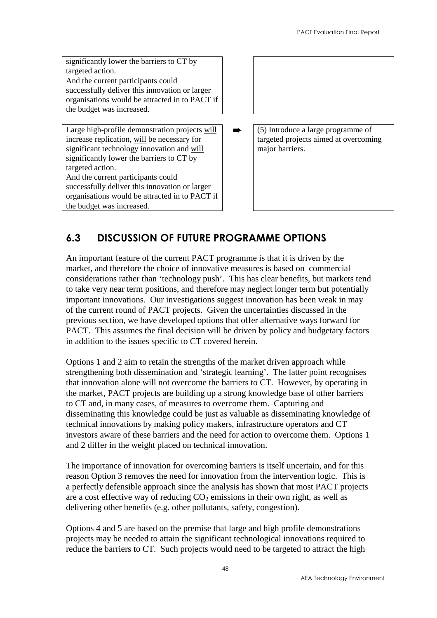significantly lower the barriers to CT by targeted action. And the current participants could successfully deliver this innovation or larger organisations would be attracted in to PACT if the budget was increased.

Large high-profile demonstration projects will increase replication, will be necessary for significant technology innovation and will significantly lower the barriers to CT by targeted action. And the current participants could successfully deliver this innovation or larger

organisations would be attracted in to PACT if the budget was increased.

➨ (5) Introduce a large programme of targeted projects aimed at overcoming major barriers.

## 6.3 DISCUSSION OF FUTURE PROGRAMME OPTIONS

An important feature of the current PACT programme is that it is driven by the market, and therefore the choice of innovative measures is based on commercial considerations rather than 'technology push'. This has clear benefits, but markets tend to take very near term positions, and therefore may neglect longer term but potentially important innovations. Our investigations suggest innovation has been weak in may of the current round of PACT projects. Given the uncertainties discussed in the previous section, we have developed options that offer alternative ways forward for PACT. This assumes the final decision will be driven by policy and budgetary factors in addition to the issues specific to CT covered herein.

Options 1 and 2 aim to retain the strengths of the market driven approach while strengthening both dissemination and 'strategic learning'. The latter point recognises that innovation alone will not overcome the barriers to CT. However, by operating in the market, PACT projects are building up a strong knowledge base of other barriers to CT and, in many cases, of measures to overcome them. Capturing and disseminating this knowledge could be just as valuable as disseminating knowledge of technical innovations by making policy makers, infrastructure operators and CT investors aware of these barriers and the need for action to overcome them. Options 1 and 2 differ in the weight placed on technical innovation.

The importance of innovation for overcoming barriers is itself uncertain, and for this reason Option 3 removes the need for innovation from the intervention logic. This is a perfectly defensible approach since the analysis has shown that most PACT projects are a cost effective way of reducing  $CO<sub>2</sub>$  emissions in their own right, as well as delivering other benefits (e.g. other pollutants, safety, congestion).

Options 4 and 5 are based on the premise that large and high profile demonstrations projects may be needed to attain the significant technological innovations required to reduce the barriers to CT. Such projects would need to be targeted to attract the high